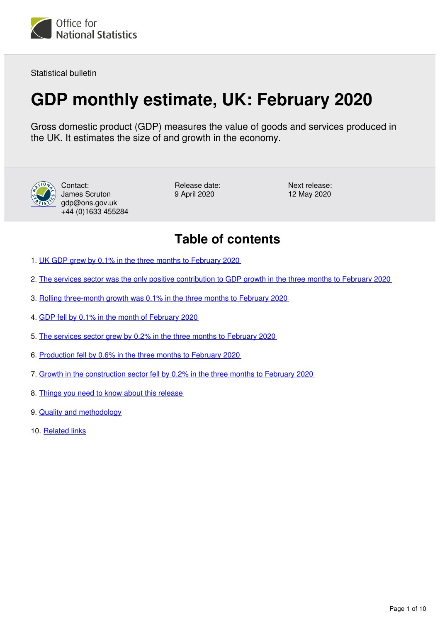<span id="page-0-0"></span>

Statistical bulletin

# **GDP monthly estimate, UK: February 2020**

Gross domestic product (GDP) measures the value of goods and services produced in the UK. It estimates the size of and growth in the economy.



Contact: James Scruton gdp@ons.gov.uk +44 (0)1633 455284 Release date: 9 April 2020

Next release: 12 May 2020

## **Table of contents**

- 1. [UK GDP grew by 0.1% in the three months to February 2020](#page-1-0)
- 2. [The services sector was the only positive contribution to GDP growth in the three months to February 2020](#page-2-0)
- 3. [Rolling three-month growth was 0.1% in the three months to February 2020](#page-3-0)
- 4. [GDP fell by 0.1% in the month of February 2020](#page-4-0)
- 5. [The services sector grew by 0.2% in the three months to February 2020](#page-5-0)
- 6. [Production fell by 0.6% in the three months to February 2020](#page-6-0)
- 7. [Growth in the construction sector fell by 0.2% in the three months to February 2020](#page-7-0)
- 8. [Things you need to know about this release](#page-7-1)
- 9. [Quality and methodology](#page-8-0)
- 10. [Related links](#page-9-0)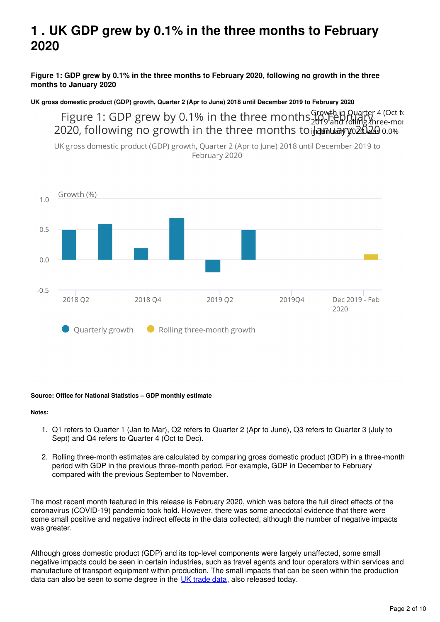## <span id="page-1-0"></span>**1 . UK GDP grew by 0.1% in the three months to February 2020**

**Figure 1: GDP grew by 0.1% in the three months to February 2020, following no growth in the three months to January 2020**

**UK gross domestic product (GDP) growth, Quarter 2 (Apr to June) 2018 until December 2019 to February 2020**

Figure 1: GDP grew by 0.1% in the three months growth in Quarter 4 (Oct to 2020, following no growth in the three months to **hamulay yo2023** 0.0%

UK gross domestic product (GDP) growth, Quarter 2 (Apr to June) 2018 until December 2019 to February 2020



#### **Source: Office for National Statistics – GDP monthly estimate**

#### **Notes:**

- 1. Q1 refers to Quarter 1 (Jan to Mar), Q2 refers to Quarter 2 (Apr to June), Q3 refers to Quarter 3 (July to Sept) and Q4 refers to Quarter 4 (Oct to Dec).
- 2. Rolling three-month estimates are calculated by comparing gross domestic product (GDP) in a three-month period with GDP in the previous three-month period. For example, GDP in December to February compared with the previous September to November.

The most recent month featured in this release is February 2020, which was before the full direct effects of the coronavirus (COVID-19) pandemic took hold. However, there was some anecdotal evidence that there were some small positive and negative indirect effects in the data collected, although the number of negative impacts was greater.

Although gross domestic product (GDP) and its top-level components were largely unaffected, some small negative impacts could be seen in certain industries, such as travel agents and tour operators within services and manufacture of transport equipment within production. The small impacts that can be seen within the production data can also be seen to some degree in the  $U<sub>K</sub>$  trade data, also released today.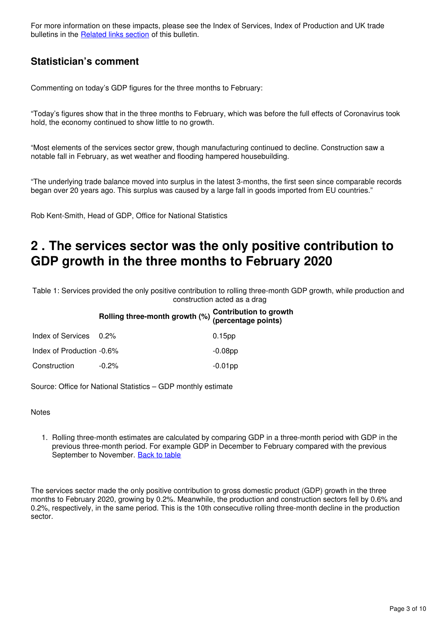For more information on these impacts, please see the Index of Services, Index of Production and UK trade bulletins in the **Related links section** of this bulletin.

### **Statistician's comment**

Commenting on today's GDP figures for the three months to February:

"Today's figures show that in the three months to February, which was before the full effects of Coronavirus took hold, the economy continued to show little to no growth.

"Most elements of the services sector grew, though manufacturing continued to decline. Construction saw a notable fall in February, as wet weather and flooding hampered housebuilding.

"The underlying trade balance moved into surplus in the latest 3-months, the first seen since comparable records began over 20 years ago. This surplus was caused by a large fall in goods imported from EU countries."

Rob Kent-Smith, Head of GDP, Office for National Statistics

### <span id="page-2-0"></span>**2 . The services sector was the only positive contribution to GDP growth in the three months to February 2020**

Table 1: Services provided the only positive contribution to rolling three-month GDP growth, while production and construction acted as a drag

### **Rolling three-month growth (%) Contribution to growth (percentage points)** Index of Services 0.2% 0.15pp

| INGEX OF SEIVICES U.Z%    |          | U. I ODD   |
|---------------------------|----------|------------|
| Index of Production -0.6% |          | $-0.08$ pp |
| Construction              | $-0.2\%$ | $-0.01$ pp |

Source: Office for National Statistics – GDP monthly estimate

**Notes** 

1. Rolling three-month estimates are calculated by comparing GDP in a three-month period with GDP in the previous three-month period. For example GDP in December to February compared with the previous September to November. [Back to table](#page-0-0)

The services sector made the only positive contribution to gross domestic product (GDP) growth in the three months to February 2020, growing by 0.2%. Meanwhile, the production and construction sectors fell by 0.6% and 0.2%, respectively, in the same period. This is the 10th consecutive rolling three-month decline in the production sector.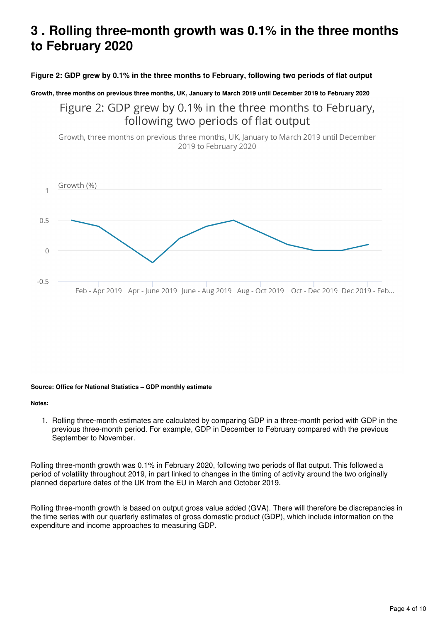### <span id="page-3-0"></span>**3 . Rolling three-month growth was 0.1% in the three months to February 2020**

#### **Figure 2: GDP grew by 0.1% in the three months to February, following two periods of flat output**

#### **Growth, three months on previous three months, UK, January to March 2019 until December 2019 to February 2020**

Figure 2: GDP grew by 0.1% in the three months to February, following two periods of flat output

Growth, three months on previous three months, UK, January to March 2019 until December 2019 to February 2020



#### **Source: Office for National Statistics – GDP monthly estimate**

#### **Notes:**

1. Rolling three-month estimates are calculated by comparing GDP in a three-month period with GDP in the previous three-month period. For example, GDP in December to February compared with the previous September to November.

Rolling three-month growth was 0.1% in February 2020, following two periods of flat output. This followed a period of volatility throughout 2019, in part linked to changes in the timing of activity around the two originally planned departure dates of the UK from the EU in March and October 2019.

Rolling three-month growth is based on output gross value added (GVA). There will therefore be discrepancies in the time series with our quarterly estimates of gross domestic product (GDP), which include information on the expenditure and income approaches to measuring GDP.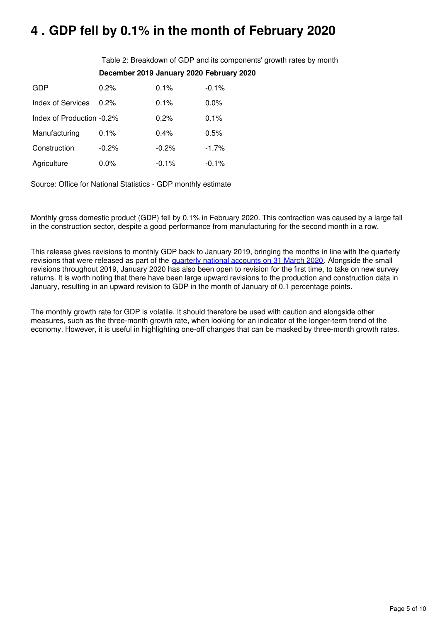## <span id="page-4-0"></span>**4 . GDP fell by 0.1% in the month of February 2020**

Table 2: Breakdown of GDP and its components' growth rates by month **December 2019 January 2020 February 2020**

| GDP                       | 0.2%    | 0.1%    | $-0.1%$ |
|---------------------------|---------|---------|---------|
| Index of Services         | 0.2%    | 0.1%    | 0.0%    |
| Index of Production -0.2% |         | 0.2%    | 0.1%    |
| Manufacturing             | 0.1%    | 0.4%    | 0.5%    |
| Construction              | $-0.2%$ | $-0.2%$ | $-1.7%$ |
| Agriculture               | 0.0%    | $-0.1%$ | $-0.1%$ |

Source: Office for National Statistics - GDP monthly estimate

Monthly gross domestic product (GDP) fell by 0.1% in February 2020. This contraction was caused by a large fall in the construction sector, despite a good performance from manufacturing for the second month in a row.

This release gives revisions to monthly GDP back to January 2019, bringing the months in line with the quarterly revisions that were released as part of the [quarterly national accounts on 31 March 2020](https://www.ons.gov.uk/economy/grossdomesticproductgdp/bulletins/quarterlynationalaccounts/octobertodecember2019). Alongside the small revisions throughout 2019, January 2020 has also been open to revision for the first time, to take on new survey returns. It is worth noting that there have been large upward revisions to the production and construction data in January, resulting in an upward revision to GDP in the month of January of 0.1 percentage points.

The monthly growth rate for GDP is volatile. It should therefore be used with caution and alongside other measures, such as the three-month growth rate, when looking for an indicator of the longer-term trend of the economy. However, it is useful in highlighting one-off changes that can be masked by three-month growth rates.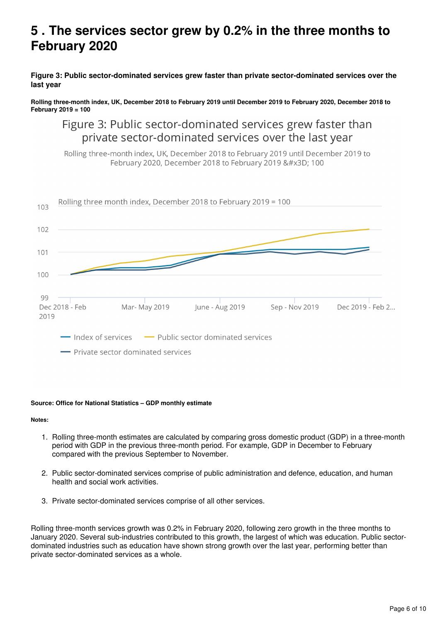### <span id="page-5-0"></span>**5 . The services sector grew by 0.2% in the three months to February 2020**

**Figure 3: Public sector-dominated services grew faster than private sector-dominated services over the last year**

**Rolling three-month index, UK, December 2018 to February 2019 until December 2019 to February 2020, December 2018 to February 2019 = 100**

Figure 3: Public sector-dominated services grew faster than private sector-dominated services over the last year

Rolling three-month index, UK, December 2018 to February 2019 until December 2019 to February 2020, December 2018 to February 2019 = 100



#### **Source: Office for National Statistics – GDP monthly estimate**

**Notes:**

- 1. Rolling three-month estimates are calculated by comparing gross domestic product (GDP) in a three-month period with GDP in the previous three-month period. For example, GDP in December to February compared with the previous September to November.
- 2. Public sector-dominated services comprise of public administration and defence, education, and human health and social work activities.
- 3. Private sector-dominated services comprise of all other services.

Rolling three-month services growth was 0.2% in February 2020, following zero growth in the three months to January 2020. Several sub-industries contributed to this growth, the largest of which was education. Public sectordominated industries such as education have shown strong growth over the last year, performing better than private sector-dominated services as a whole.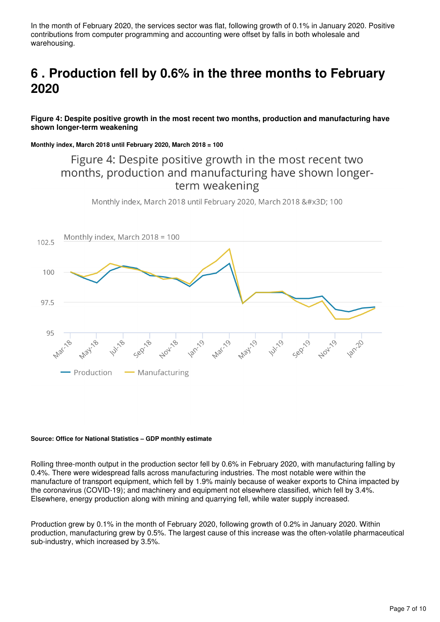In the month of February 2020, the services sector was flat, following growth of 0.1% in January 2020. Positive contributions from computer programming and accounting were offset by falls in both wholesale and warehousing.

## <span id="page-6-0"></span>**6 . Production fell by 0.6% in the three months to February 2020**

#### **Figure 4: Despite positive growth in the most recent two months, production and manufacturing have shown longer-term weakening**

**Monthly index, March 2018 until February 2020, March 2018 = 100**

### Figure 4: Despite positive growth in the most recent two months, production and manufacturing have shown longerterm weakening

Monthly index, March 2018 until February 2020, March 2018 = 100



#### **Source: Office for National Statistics – GDP monthly estimate**

Rolling three-month output in the production sector fell by 0.6% in February 2020, with manufacturing falling by 0.4%. There were widespread falls across manufacturing industries. The most notable were within the manufacture of transport equipment, which fell by 1.9% mainly because of weaker exports to China impacted by the coronavirus (COVID-19); and machinery and equipment not elsewhere classified, which fell by 3.4%. Elsewhere, energy production along with mining and quarrying fell, while water supply increased.

Production grew by 0.1% in the month of February 2020, following growth of 0.2% in January 2020. Within production, manufacturing grew by 0.5%. The largest cause of this increase was the often-volatile pharmaceutical sub-industry, which increased by 3.5%.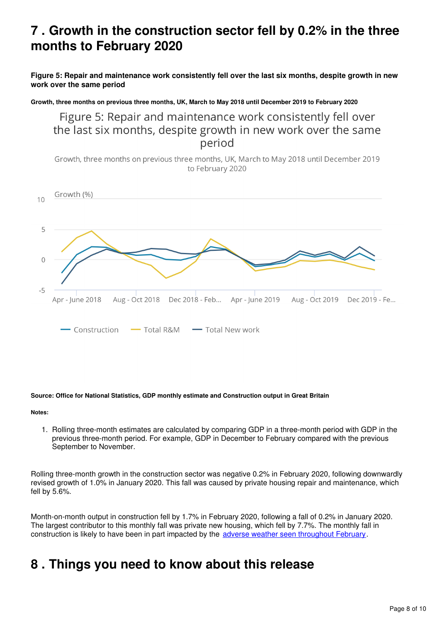## <span id="page-7-0"></span>**7 . Growth in the construction sector fell by 0.2% in the three months to February 2020**

**Figure 5: Repair and maintenance work consistently fell over the last six months, despite growth in new work over the same period**

**Growth, three months on previous three months, UK, March to May 2018 until December 2019 to February 2020**

Figure 5: Repair and maintenance work consistently fell over the last six months, despite growth in new work over the same period

Growth, three months on previous three months, UK, March to May 2018 until December 2019 to February 2020



#### **Source: Office for National Statistics, GDP monthly estimate and Construction output in Great Britain**

**Notes:**

1. Rolling three-month estimates are calculated by comparing GDP in a three-month period with GDP in the previous three-month period. For example, GDP in December to February compared with the previous September to November.

Rolling three-month growth in the construction sector was negative 0.2% in February 2020, following downwardly revised growth of 1.0% in January 2020. This fall was caused by private housing repair and maintenance, which fell by 5.6%.

Month-on-month output in construction fell by 1.7% in February 2020, following a fall of 0.2% in January 2020. The largest contributor to this monthly fall was private new housing, which fell by 7.7%. The monthly fall in construction is likely to have been in part impacted by the [adverse weather seen throughout February.](https://www.metoffice.gov.uk/binaries/content/assets/metofficegovuk/pdf/weather/learn-about/uk-past-events/summaries/uk_monthly_climate_summary_202002.pdf)

### <span id="page-7-1"></span>**8 . Things you need to know about this release**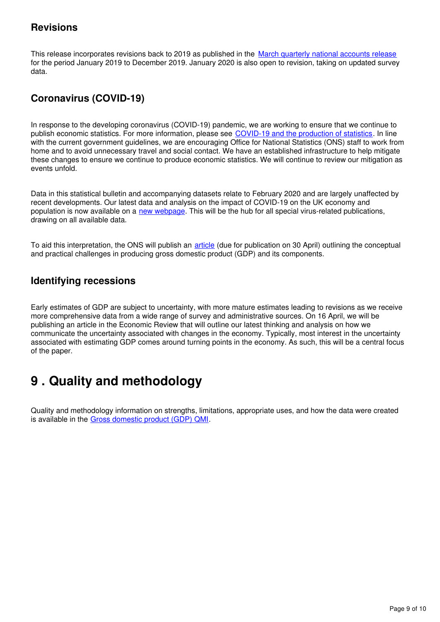### **Revisions**

This release incorporates revisions back to 2019 as published in the [March quarterly national accounts release](https://www.ons.gov.uk/economy/grossdomesticproductgdp/bulletins/quarterlynationalaccounts/octobertodecember2019) for the period January 2019 to December 2019. January 2020 is also open to revision, taking on updated survey data.

### **Coronavirus (COVID-19)**

In response to the developing coronavirus (COVID-19) pandemic, we are working to ensure that we continue to publish economic statistics. For more information, please see [COVID-19 and the production of statistics.](https://www.ons.gov.uk/news/statementsandletters/covid19andtheproductionofstatistics) In line with the current government guidelines, we are encouraging Office for National Statistics (ONS) staff to work from home and to avoid unnecessary travel and social contact. We have an established infrastructure to help mitigate these changes to ensure we continue to produce economic statistics. We will continue to review our mitigation as events unfold.

Data in this statistical bulletin and accompanying datasets relate to February 2020 and are largely unaffected by recent developments. Our latest data and analysis on the impact of COVID-19 on the UK economy and population is now available on a new webpage[.](https://www.ons.gov.uk/peoplepopulationandcommunity/healthandsocialcare/conditionsanddiseases) This will be the hub for all special virus-related publications, drawing on all available data.

To aid this interpretation, the ONS will publish an *[article](https://www.ons.gov.uk/releasecalendar)* (due for publication on 30 April) outlining the conceptual and practical challenges in producing gross domestic product (GDP) and its components.

### **Identifying recessions**

Early estimates of GDP are subject to uncertainty, with more mature estimates leading to revisions as we receive more comprehensive data from a wide range of survey and administrative sources. On 16 April, we will be publishing an article in the Economic Review that will outline our latest thinking and analysis on how we communicate the uncertainty associated with changes in the economy. Typically, most interest in the uncertainty associated with estimating GDP comes around turning points in the economy. As such, this will be a central focus of the paper.

## <span id="page-8-0"></span>**9 . Quality and methodology**

Quality and methodology information on strengths, limitations, appropriate uses, and how the data were created is available in the Gross domestic product (GDP) QMI.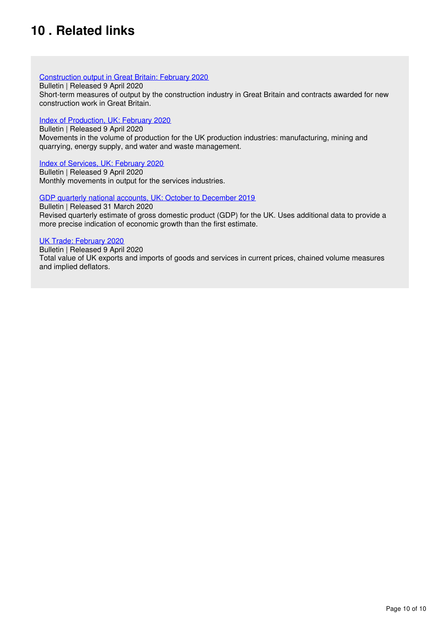## <span id="page-9-0"></span>**10 . Related links**

#### [Construction output in Great Britain: February 2020](https://www.ons.gov.uk/businessindustryandtrade/constructionindustry/bulletins/constructionoutputingreatbritain/february2020)

Bulletin | Released 9 April 2020

Short-term measures of output by the construction industry in Great Britain and contracts awarded for new construction work in Great Britain.

#### [Index of Production, UK: February 2020](https://www.ons.gov.uk/economy/economicoutputandproductivity/output/bulletins/indexofproduction/february2020/relateddata)

Bulletin | Released 9 April 2020 Movements in the volume of production for the UK production industries: manufacturing, mining and quarrying, energy supply, and water and waste management.

#### [Index of Services, UK: February 2020](https://www.ons.gov.uk/economy/economicoutputandproductivity/output/bulletins/indexofservices/february2020)

Bulletin | Released 9 April 2020 Monthly movements in output for the services industries.

#### [GDP quarterly national accounts, UK: October to December 2019](https://www.ons.gov.uk/economy/grossdomesticproductgdp/bulletins/quarterlynationalaccounts/octobertodecember2019)

Bulletin | Released 31 March 2020

Revised quarterly estimate of gross domestic product (GDP) for the UK. Uses additional data to provide a more precise indication of economic growth than the first estimate.

#### [UK Trade: February 2020](https://www.ons.gov.uk/economy/nationalaccounts/balanceofpayments/bulletins/uktrade/february2020)

Bulletin | Released 9 April 2020 Total value of UK exports and imports of goods and services in current prices, chained volume measures and implied deflators.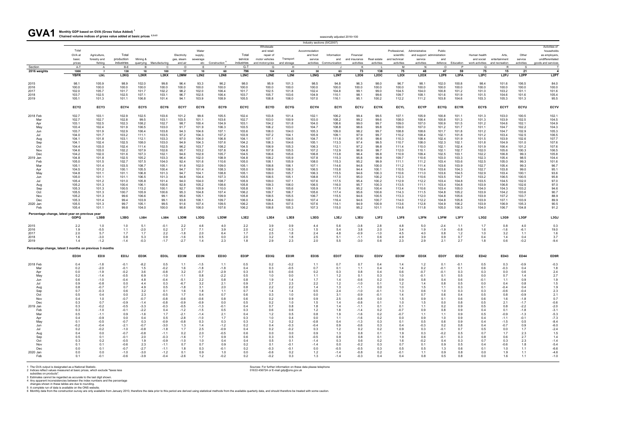**Monthly GDP based on GVA (Gross Value Added) <sup>1</sup>** GVA1 Monthly GDP based on GVA (Gross Value Added)<sup>1</sup><br>Chained volume indices of gross value added at basic prices <sup>2,3,4,5</sup>

| UVAI                                                    | Chained volume indices of gross value added at basic prices <sup>2,3,4,5</sup> |                                     |                     |                         |                          |                       |                   |                               |                    |                             |                |                            | seasonally adjusted 2016=100 |                             |                    |                             |                   |                            |                   |                                              |                         |                  |                                                          |
|---------------------------------------------------------|--------------------------------------------------------------------------------|-------------------------------------|---------------------|-------------------------|--------------------------|-----------------------|-------------------|-------------------------------|--------------------|-----------------------------|----------------|----------------------------|------------------------------|-----------------------------|--------------------|-----------------------------|-------------------|----------------------------|-------------------|----------------------------------------------|-------------------------|------------------|----------------------------------------------------------|
|                                                         |                                                                                |                                     |                     |                         |                          |                       |                   |                               |                    | Wholesale                   |                | Industry sections (SIC2007 |                              |                             |                    |                             |                   |                            |                   |                                              |                         |                  | Activities of                                            |
|                                                         | Total                                                                          |                                     |                     |                         |                          |                       | Water             |                               |                    | and retail:                 |                | Accommodation              |                              |                             |                    | Professional,               | Administrative    | Public                     |                   |                                              |                         |                  | households                                               |
|                                                         | GVA at<br>basic                                                                | Agriculture,<br>forestry and        | Total<br>production | Mining &                |                          | Electricity           | supply,           |                               | Total<br>service   | repair of<br>motor vehicles | Transport      | and food<br>service        | Information<br>and           | Financial                   | Real estate        | scientific                  | service           | and support administration |                   | Human health                                 | Arts,<br>entertainment  | Other<br>service | as employers.<br>undifferentiated                        |
|                                                         | prices                                                                         | fishing                             | industries          |                         | quarrying Manufacturing  | gas, steam<br>and air | sewerage          | etc Construction <sup>6</sup> | industries         | and motorcycles             | and storage    |                            | activities Communication     | and insurance<br>activities | activities         | and technical<br>activities | activities        | and                        | defence Education | and social<br>work activities and recreation |                         | activities       | goods and services                                       |
| Section                                                 | A-T                                                                            | A                                   | B-E                 | <b>B</b>                | C                        | D                     | E                 | - F                           | $G-T$              | G                           | H              |                            |                              | к                           |                    | м                           | $\mathsf{N}$      | $\circ$                    | P                 | Q                                            | R                       | - S              |                                                          |
| 2016 weights                                            | 1000<br><b>YBFR</b>                                                            | $\overline{7}$<br>L <sub>2</sub> KL | 138<br>L2KQ         | 10<br>L <sub>2</sub> KR | 100<br>L <sub>2</sub> KX | 17<br>L2MW            | 10<br><b>L2N2</b> | 60<br><b>L2N8</b>             | 796<br><b>L2NC</b> | 104<br>L <sub>2</sub> NE    | 43<br>L2NI     | 30<br>L <sub>2</sub> NQ    | 63<br>L <sub>2NT</sub>       | 73<br>L <sub>2</sub> O6     | 138<br><b>L2OC</b> | 75<br><b>L2OI</b>           | 48<br><b>L2OX</b> | 47<br><b>L2P8</b>          | 59<br>L2PA        | 75<br>L <sub>2</sub> PC                      | 15<br>L <sub>2</sub> PJ | 21<br>L2PP       | $\overline{\mathbf{4}}$<br>L <sub>2</sub> PT             |
| 2015                                                    | 98.1                                                                           | 105.9                               | 98.9                | 102.0                   | 99.8                     | 96.4                  | 93.3              | 96.2                          | 98.0               | 95.9                        | 101.3          | 98.5                       | 94.8                         | 96.3                        | 98.0               | 96.7                        | 98.1              | 102.0                      | 100.8             | 98.4                                         | 101.6                   | 106.5            | 84.0                                                     |
| 2016                                                    | 100.0                                                                          | 100.0                               | 100.0               | 100.0                   | 100.0                    | 100.0                 | 100.0             | 100.0                         | 100.0              | 100.0                       | 100.0          | 100.0                      | 100.0                        | 100.0                       | 100.0              | 100.0                       | 100.0             | 100.0                      | 100.0             | 100.0                                        | 100.0                   | 100.0            | 100.0                                                    |
| 2017<br>2018                                            | 102.0<br>103.7                                                                 | 105.7<br>102.5                      | 101.7<br>102.5      | 101.7<br>107.1          | 102.2<br>103.1           | 98.2<br>96.7          | 102.0<br>102.5    | 106.4<br>106.4                | 101.7<br>103.7     | 102.5<br>105.7              | 101.8<br>103.6 | 102.4<br>104.9             | 104.8<br>110.1               | 99.1<br>98.1                | 99.0<br>99.6       | 104.5<br>109.7              | 104.0<br>108.1    | 100.8<br>101.6             | 101.2<br>101.9    | 101.0<br>101.5                               | 103.2<br>104.6          | 101.1<br>101.6   | 101.6<br>105.4                                           |
| 2019                                                    | 105.1                                                                          | 101.3                               | 101.1               | 106.8                   | 101.4                    | 94.1                  | 103.9             | 108.9                         | 105.5              | 108.8                       | 106.0          | 107.0                      | 116.1                        | 95.1                        | 100.2              | 112.2                       | 111.2             | 103.8                      | 104.6             | 103.3                                        | 105.3                   | 101.3            | 95.5                                                     |
|                                                         | ECY <sub>2</sub>                                                               | ECY3                                | ECY4                | ECY5                    | ECY6                     | ECY7                  | ECY8              | ECY9                          | ECYC               | <b>ECYD</b>                 | <b>ECYG</b>    | <b>ECYH</b>                | <b>ECYI</b>                  | <b>ECYJ</b>                 | <b>ECYK</b>        | <b>ECYL</b>                 | <b>ECYP</b>       | <b>ECYQ</b>                | <b>ECYR</b>       | <b>ECYS</b>                                  | <b>ECYT</b>             | <b>ECYU</b>      | ECYV                                                     |
| 2018 Feb                                                | 102.7                                                                          | 103.1                               | 102.9               | 102.5                   | 103.6                    | 101.2                 | 99.6              | 105.5                         | 102.4              | 103.8                       | 101.4          | 102.1                      | 106.2                        | 99.4                        | 99.5               | 107.1                       | 105.9             | 100.8                      | 101.1             | 101.3                                        | 103.0                   | 100.5            | 102.1                                                    |
| Mar<br>Apr                                              | 102.7<br>103.1                                                                 | 102.7<br>102.5                      | 102.8<br>102.3      | 99.5<br>108.2           | 103.1<br>102.7           | 103.5<br>98.7         | 101.1<br>100.4    | 103.6<br>104.9                | 102.7<br>103.1     | 103.0<br>104.2              | 100.9<br>101.8 | 103.0<br>104.0             | 108.2<br>108.6               | 99.2<br>99.0                | 99.6<br>99.7       | 108.0<br>109.0              | 106.4<br>107.0    | 100.8<br>100.9             | 101.3<br>101.5    | 101.3<br>101.2                               | 103.9<br>104.6          | 102.5<br>102.1   | 104.5<br>104.9                                           |
| May                                                     | 103.4                                                                          | 102.4                               | 101.9               | 106.5                   | 103.0                    | 91.7                  | 101.9             | 106.3                         | 103.5              | 106.2                       | 103.0          | 104.7                      | 108.8                        | 98.6                        | 99.8               | 109.0                       | 107.0             | 101.2                      | 101.7             | 101.1                                        | 104.7                   | 102.2            | 104.3                                                    |
| Jun                                                     | 103.7                                                                          | 101.9                               | 102.9               | 106.4                   | 103.8                    | 94.3                  | 104.6             | 107.1                         | 103.6              | 106.0                       | 104.0          | 105.3                      | 109.0                        | 98.2                        | 99.7               | 108.8                       | 108.6             | 101.7                      | 101.8             | 101.2                                        | 104.7                   | 102.9            | 105.3                                                    |
| Jul<br>Aug                                              | 104.0<br>104.1                                                                 | 101.7<br>101.8                      | 103.2<br>103.1      | 111.1<br>112.1          | 103.5<br>103.3           | 97.2<br>97.0          | 104.3<br>104.0    | 107.2<br>106.8                | 103.9<br>104.1     | 107.2<br>107.1              | 104.1<br>104.5 | 105.9<br>104.7             | 109.1<br>111.8               | 97.9<br>97.6                | 99.7<br>99.6       | 110.2<br>110.3              | 108.4<br>108.4    | 102.1<br>102.4             | 101.8<br>101.9    | 101.2<br>101.5                               | 103.4<br>103.9          | 102.5<br>102.6   | 106.5<br>107.7                                           |
| Sep                                                     | 104.1                                                                          | 102.4                               | 102.5               | 108.0                   | 103.0                    | 94.9                  | 104.3             | 107.6                         | 104.2              | 106.3                       | 104.6          | 105.1                      | 113.3                        | 97.4                        | 99.5               | 110.7                       | 108.0             | 102.3                      | 102.1             | 101.8                                        | 104.9                   | 101.0            | 107.6                                                    |
| Oct                                                     | 104.4                                                                          | 103.0                               | 102.4               | 111.4                   | 102.5                    | 96.2                  | 103.7             | 108.2                         | 104.5              | 106.9                       | 105.3          | 106.3                      | 112.1                        | 97.2                        | 99.8               | 111.4                       | 110.0             | 102.1                      | 102.4             | 101.9                                        | 106.4                   | 101.2            | 107.6                                                    |
| Nov<br>Dec                                              | 104.6                                                                          | 103.0<br>102.0                      | 102.2<br>101.6      | 107.9<br>107.3          | 102.6<br>102.1           | 95.7<br>94.6          | 103.2<br>102.9    | 107.8<br>105.7                | 104.8<br>104.5     | 107.8<br>106.6              | 105.5<br>105.6 | 107.2<br>106.8             | 112.9<br>113.8               | 96.9<br>96.4                | 99.7<br>99.8       | 112.0                       | 110.1<br>109.4    | 102.1                      | 102.7<br>103.1    | 102.0                                        | 105.6                   | 100.3<br>99.3    | 106.5                                                    |
| 2019 Jan                                                | 104.2<br>104.8                                                                 | 101.8                               | 102.5               | 105.2                   | 103.3                    | 96.4                  | 102.0             | 108.9                         | 104.8              | 108.2                       | 105.9          | 107.8                      | 115.3                        | 95.8                        | 99.9               | 110.9<br>109.7              | 110.6             | 102.5<br>103.0             | 103.3             | 102.2<br>102.3                               | 106.8<br>105.4          | 98.5             | 105.8<br>104.4                                           |
| Feb                                                     | 105.0                                                                          | 101.5                               | 102.7               | 107.5                   | 104.0                    | 92.4                  | 101.6             | 110.6                         | 105.0              | 108.1                       | 105.9          | 108.0                      | 115.3                        | 95.2                        | 99.9               | 111.1                       | 111.2             | 103.4                      | 103.6             | 102.5                                        | 105.0                   | 99.3             | 101.6                                                    |
| Mar                                                     | 105.1                                                                          | 101.4                               | 103.5               | 108.7                   | 105.1                    | 91.8                  | 102.0             | 109.0                         | 105.1              | 108.8                       | 106.1          | 107.1                      | 114.6                        | 94.8                        | 100.0              | 111.2                       | 111.4             | 103.6                      | 103.9             | 102.7                                        | 105.4                   | 99.3             | 96.7                                                     |
| Apr<br>May                                              | 104.5<br>104.8                                                                 | 101.2<br>101.1                      | 100.1<br>101.1      | 105.5<br>106.8          | 100.4<br>101.3           | 94.7<br>94.7          | 101.4<br>104.1    | 108.3<br>108.8                | 105.0<br>105.1     | 108.9<br>109.0              | 106.3<br>105.7 | 106.5<br>106.3             | 115.8<br>115.5               | 94.4<br>94.6                | 100.1<br>100.3     | 110.5<br>110.6              | 110.4<br>111.0    | 103.6<br>103.6             | 104.3<br>104.5    | 102.7<br>102.9                               | 103.8<br>103.4          | 99.0<br>100.1    | 95.1<br>93.6                                             |
| Jun                                                     | 105.0                                                                          | 101.1                               | 101.1               | 106.5                   | 101.3                    | 94.8                  | 104.4             | 107.3                         | 105.5              | 108.5                       | 105.1          | 108.8                      | 117.0                        | 95.0                        | 100.2              | 112.3                       | 110.6             | 103.5                      | 104.7             | 103.2                                        | 106.5                   | 100.5            | 95.8                                                     |
| Jul                                                     | 105.4                                                                          | 101.2                               | 101.0               | 105.8                   | 101.4                    | 94.0                  | 104.0             | 108.7                         | 105.9              | 109.0                       | 107.1          | 107.6                      | 117.5                        | 95.4                        | 100.2              | 112.9                       | 112.2             | 103.4                      | 104.8             | 103.5                                        | 104.5                   | 102.0            | 97.0                                                     |
| Aug                                                     | 105.2                                                                          | 101.3                               | 100.4               | 106.1                   | 100.6                    | 92.8                  | 105.2             | 108.6                         | 105.8              | 109.3                       | 106.0          | 106.5                      | 116.0                        | 95.7                        | 100.3              | 113.5                       | 111.1             | 103.4                      | 104.8             | 103.9                                        | 106.8                   | 102.6            | 97.0                                                     |
| Sep<br>Oct                                              | 105.3<br>105.5                                                                 | 101.3<br>101.3                      | 100.5<br>100.7      | 113.2<br>105.9          | 100.1<br>100.6           | 92.7<br>95.3          | 105.9<br>104.8    | 110.0<br>107.4                | 105.8<br>106.2     | 109.1<br>109.7              | 105.6<br>106.7 | 105.9<br>105.6             | 117.6<br>117.4               | 95.2<br>95.6                | 100.4<br>100.6     | 113.4<br>114.3              | 110.6<br>111.5    | 103.4<br>104.8             | 105.0<br>105.2    | 104.0<br>103.9                               | 104.3<br>104.2          | 103.2<br>103.6   | 94.6<br>90.7                                             |
| Nov                                                     | 105.2                                                                          | 101.3                               | 99.6                | 106.6                   | 99.1                     | 95.6                  | 105.1             | 109.9                         | 105.8              | 108.5                       | 105.5          | 106.7                      | 115.5                        | 94.6                        | 100.5              | 113.3                       | 112.0             | 104.8                      | 105.6             | 103.9                                        | 107.2                   | 103.7            | 88.9                                                     |
| Dec                                                     | 105.3                                                                          | 101.4                               | 99.4                | 103.9                   | 99.1                     | 93.8                  | 106.1             | 109.7                         | 106.0              | 108.4                       | 106.0          | 107.4                      | 116.4                        | 94.6                        | 100.7              | 114.0                       | 112.2             | 104.8                      | 105.8             | 103.9                                        | 107.1                   | 103.9            | 89.9                                                     |
| 2020 Jan<br>Feb                                         | 105.5<br>105.4                                                                 | 101.3<br>101.1                      | 99.7<br>99.8        | 105.1<br>104.0          | 99.5<br>100.0            | 91.6<br>90.8          | 107.4<br>106.0    | 109.5<br>107.6                | 106.2<br>106.2     | 109.5<br>108.8              | 107.5<br>105.3 | 107.6<br>107.3             | 114.1<br>115.0               | 94.9<br>95.2                | 100.9<br>101.1     | 113.6<br>114.8              | 112.8<br>111.8    | 104.9<br>105.0             | 106.2<br>106.3    | 103.9<br>104.0                               | 106.9<br>106.7          | 105.3<br>104.8   | 90.5<br>91.2                                             |
| Percentage change, latest year on previous year         |                                                                                |                                     |                     |                         |                          |                       |                   |                               |                    |                             |                |                            |                              |                             |                    |                             |                   |                            |                   |                                              |                         |                  |                                                          |
|                                                         | <b>GDPQ</b>                                                                    | L3BB                                | L3BG                | L3BH                    | L3BN                     | L3DM                  | L3DQ              | L3DW                          | L3E2               | <b>L3E4</b>                 | L3E8           | L3EG                       | L3EJ                         | L3EU                        | <b>L3F2</b>        | <b>L3F8</b>                 | L3FN              | L3FW                       | L3FY              | L3G2                                         | L3G9                    | L3GF             | L3GJ                                                     |
| 2015<br>2016                                            | 2.2<br>1.9                                                                     | 1.0<br>$-5.5$                       | 1.0<br>1.1          | 5.1<br>$-2.0$           | $-0.1$<br>0.2            | 2.2<br>3.7            | 4.6<br>7.1        | 4.0<br>3.9                    | 2.2<br>2.0         | 3.9<br>4.2                  | 0.9<br>$-1.3$  | 4.4<br>1.5                 | 5.6<br>5.4                   | $-3.8$<br>3.8               | 2.8<br>2.0         | 4.8<br>3.4                  | 5.0<br>1.9        | $-2.4$<br>$-1.9$           | 1.1<br>$-0.8$     | 1.7<br>1.6                                   | 0.8<br>$-1.6$           | 4.0<br>$-6.1$    | 0.3<br>19.0                                              |
| 2017                                                    | 2.0                                                                            | 5.7                                 | 1.7                 | 1.7                     | 2.2                      | $-1.8$                | 2.0               | 6.4                           | 1.7                | 2.5                         | 1.8            | 2.4                        | 4.8                          | $-0.9$                      | $-1.0$             | 4.5                         | 4.0               | 0.8                        | 1.2               | 1.0                                          | 3.2                     | 1.1              | 1.6                                                      |
| 2018                                                    | 1.6                                                                            | $-3.0$                              | 0.8                 | 5.3                     | 0.9                      | $-1.6$                | 0.5               | 0.0                           | 2.0                | 3.2                         | 1.8            | 2.5                        | 5.1                          | $-1.1$                      | 0.6                | 4.9                         | 3.9               | 0.9                        | 0.7               | 0.4                                          | 1.4                     | 0.4              | 3.7                                                      |
| 2019                                                    | 1.4                                                                            | $-1.2$                              | $-1.4$              | $-0.3$                  | $-1.7$                   | $-2.7$                | 1.4               | 2.3                           | 1.8                | 2.9                         | 2.3            | 2.0                        | 5.5                          | $-3.0$                      | 0.6                | 2.3                         | 2.9               | 2.1                        | 2.7               | 1.8                                          | 0.6                     | $-0.2$           | $-9.4$                                                   |
| Percentage change, latest 3 months on previous 3 months | ED3H                                                                           | ED3I                                | ED3J                | ED3K                    | ED3L                     | ED3M                  | ED3N              | ED3O                          | ED3P               | ED3Q                        | ED3R           | ED3S                       | ED3T                         | ED3U                        | ED3V               | ED3W                        | ED3X              | ED3Y                       | ED3Z              | <b>ED42</b>                                  | <b>ED43</b>             | <b>ED44</b>      | ED9R                                                     |
| 2018 Feb                                                | 0.4                                                                            | $-1.8$                              | $-0.1$              | $-8.2$                  | 0.5                      | 1.1                   | $-1.5$            | 1.1                           | 0.5                | 0.2                         | $-0.2$         | 1.1                        | 0.7                          | 0.7                         | 0.4                | 1.4                         | 1.2               | 0.1                        | $-0.1$            | 0.5                                          | 0.3                     | $-0.9$           | $-0.3$                                                   |
|                                                         | 0.2                                                                            | $-2.0$                              | $-0.1$              | 1.5                     | $-0.2$                   | 1.6                   | $-1.8$            | $-1.8$                        | 0.4                | 0.3                         | $-0.5$         | 0.7                        | 0.1                          | 1.1                         | 0.4                | 1.4                         | 0.2               | $-0.1$                     | 0.1               | 0.6                                          | $-0.3$                  | 0.4              | 1.8                                                      |
| Apr                                                     | 0.0                                                                            | $-1.9$                              | $-0.2$              | 3.6                     | $-0.8$                   | 3.2                   | $-0.7$            | $-2.9$                        | 0.3                | 0.5                         | $-0.6$         | 0.2                        | 0.3                          | 0.8                         | 0.4                | 0.6                         | $-0.7$            | $-0.1$                     | 0.3               | 0.3                                          | 0.0                     | 0.6              | $2.4$<br>$2.7$<br>$1.9$<br>$1.5$                         |
| May<br>Jun                                              | 0.2<br>0.6                                                                     | $-1.4$<br>$-1.0$                    | $-0.5$<br>$-0.4$    | 6.9<br>4.8              | $-1.0$<br>$-0.4$         | $-1.1$<br>$-5.1$      | 0.8<br>2.2        | $-2.2$<br>0.8                 | 0.5<br>0.8         | 1.0<br>1.9                  | 0.0<br>1.4     | 1.1<br>1.7                 | 1.2<br>$1.4\,$               | 0.1<br>$-0.6$               | 0.3<br>0.2         | 1.0<br>0.9                  | $-0.1$<br>0.8     | 0.1<br>0.4                 | 0.5<br>0.6        | 0.0<br>$-0.1$                                | 0.7<br>1.1              | 1.4<br>0.9       |                                                          |
| Jul                                                     | 0.9                                                                            | $-0.8$                              | 0.0                 | 4.4                     | 0.3                      | $-6.7$                | 3.2               | 2.1                           | 0.9                | 2.7                         | 2.3            | 2.2                        | 1.2                          | $-1.0$                      | 0.1                | 1.2                         | 1.4               | 0.8                        | 0.5               | 0.0                                          | 0.4                     | 0.8              |                                                          |
| Aug                                                     | 0.8                                                                            | $-0.7$                              | 0.7                 | 4.9                     | 0.5                      | $-1.8$                | 3.1               | 2.0                           | $0.8\,$            | 2.2                         | 2.2            | 1.4                        | 1.3                          | $-1.1$                      | 0.0                | 1.0                         | 1.5               | 1.1                        | 0.3               | 0.1                                          | $-0.4$                  | 0.4              | 1.9                                                      |
| Sep                                                     | 0.7                                                                            | -0.3                                | 0.6                 | 3.2                     | 0.1                      | 1.6                   | 1.8               | 1.1                           | 0.7                | 1.4                         | 1.4            | 0.5                        | $2.4\,$                      | $-1.0$                      | $-0.1$             | 1.3                         | 0.6               | 1.0                        | 0.3               | 0.3                                          | $-0.6$                  | $-0.4$           | 2.3<br>2.1<br>0.7<br>0.6<br>-2.0<br>-3.1<br>-5.3<br>-7.3 |
| Oct<br>Nov                                              | 0.5<br>0.4                                                                     | 0.4<br>$1.0$                        | 0.0<br>$-0.7$       | 2.3<br>$-0.7$           | $-0.5$<br>$-0.8$         | 1.7<br>$-0.6$         | 0.4<br>$-0.6$     | 0.7<br>0.8                    | 0.6<br>0.6         | 0.3<br>0.2                  | 1.0<br>0.9     | 0.0<br>0.9                 | 3.1                          | $-0.9$<br>$-0.8$            | $-0.1$<br>0.0      | 1.4<br>1.5                  | 0.7<br>0.9        | 0.6<br>0.1                 | 0.4<br>0.6        | 0.5<br>0.6                                   | 0.8<br>1.6              | $-0.9$<br>$-1.8$ |                                                          |
| Dec                                                     | 0.3                                                                            | 0.7                                 | $-0.9$              | $-1.4$                  | $-0.8$                   | $-0.9$                | $-0.9$            | 0.0                           | 0.5                | 0.2                         | 1.0            | 1.5                        | $\frac{2.5}{1.4}$            | $-0.8$                      | 0.1                | 1.0                         | 1.5               | 0.0                        | 0.8               | 0.5                                          | 2.1                     | $-1.7$           |                                                          |
| 2019 Jan                                                | 0.3                                                                            | $-0.2$                              | $-0.5$              | $-3.3$                  | $-0.3$                   | $-0.5$                | $-1.3$            | $-0.1$                        | 0.4                | 0.7                         | 0.8            | 1.8                        | $1.4$                        | $-1.1$                      | 0.1                | 0.1                         | 1.1               | 0.2                        | 0.9               | 0.5                                          | 0.8                     | $-2.2$           |                                                          |
| Feb                                                     | 0.3                                                                            | $-1.0$                              | $-0.1$              | $-2.2$                  | 0.4                      | $-1.2$                | $-1.5$            | 0.5                           | 0.3                | 0.6                         | 0.6            | 1.2                        | 1.8                          | $-1.4$                      | 0.2                | $-0.7$                      | 0.9               | 0.8                        | 0.9               | 0.4                                          | 0.1                     | $-1.8$           |                                                          |
| Mar<br>Apr                                              | $0.5\,$<br>0.4                                                                 | $-1.1$<br>$-0.9$                    | 0.9<br>0.0          | $-1.6$<br>0.4           | 1.7<br>0.5               | $-2.1$<br>$-2.8$      | $-1.4$<br>$-1.0$  | 2.1<br>1.7                    | 0.4<br>0.3         | 1.2<br>1.0                  | 0.5<br>0.4     | 0.8<br>0.0                 | 1.9<br>1.1                   | $-1.6$<br>$-1.6$            | 0.2<br>0.2         | $-0.7$<br>0.0               | 1.1<br>0.9        | 1.1<br>1.0                 | 0.9<br>0.9        | 0.5<br>0.4                                   | $-0.9$<br>$-1.1$        | $-1.3$<br>$-0.1$ |                                                          |
| May                                                     | 0.1                                                                            | $-0.5$                              | $-0.7$              | 0.3                     | $-0.9$                   | $-0.8$                | 0.3               | 0.3                           | 0.3                | 1.2                         | 0.2            | $-0.8$                     | 0.4                          | $-1.3$                      | 0.3                | 0.1                         | 0.5               | 0.6                        | 0.9               | 0.4                                          | $-1.5$                  | $0.5\,$          |                                                          |
| Jun                                                     | $-0.2$                                                                         | $-0.4$                              | $-2.1$              | $-0.7$                  | $-3.0$                   | 1.3                   | 1.4               | $-1.2$                        | 0.2                | 0.4                         | $-0.3$         | $-0.4$                     | 0.9                          | $-0.6$                      | 0.3                | 0.4                         | $-0.3$            | 0.2                        | 0.8               | 0.4                                          | $-0.7$                  | 0.9              | $-8.4$<br>$-6.0$<br>$-2.4$<br>$1.5$<br>$1.4$             |
| Jul                                                     | 0.2                                                                            | $-0.2$                              | $-1.0$              | $-0.8$                  | $-1.8$                   | 1.7                   | 2.5               | $-0.9$                        | 0.4                | 0.2                         | $-0.2$         | 0.3                        | 1.2                          | 0.2                         | 0.2                | 0.9                         | 0.3               | $-0.1$                     | 0.7               | 0.5                                          | 0.0                     | 1.7              |                                                          |
| Aug<br>Sep                                              | 0.4<br>0.5                                                                     | 0.0<br>0.1                          | $-0.7$<br>$-0.1$    | $-0.8$<br>2.0           | $-1.1$<br>$-0.3$         | 0.2<br>$-1.6$         | 2.0<br>1.7        | $-0.5$<br>0.9                 | 0.6<br>0.6         | 0.0<br>0.3                  | 0.0<br>0.5     | 0.9<br>$-0.5$              | 1.3<br>0.8                   | 0.8<br>0.8                  | 0.1<br>0.1         | 1.9<br>1.9                  | 0.3<br>0.6        | $-0.2$<br>$-0.1$           | 0.5<br>0.3        | 0.7<br>0.8                                   | 1.7<br>0.6              | $2.3\,$<br>2.7   |                                                          |
| Oct                                                     | 0.3                                                                            | 0.2                                 | $-0.5$              | 1.9                     | $-0.9$                   | $-1.0$                | 1.0               | 0.4                           | 0.4                | 0.5                         | 0.1            | $-1.4$                     | 0.3                          | 0.6                         | 0.2                | 1.6                         | $-0.2$            | 0.4                        | 0.3               | 0.7                                          | 0.3                     | $2.3\,$          |                                                          |
| Nov                                                     | 0.1                                                                            | 0.1                                 | $-0.6$              | 2.3                     | $-1.1$                   | 0.7                   | 0.7               | 0.9                           | 0.2                | 0.1                         | $-0.1$         | $-1.4$                     | 0.0                          | $-0.2$                      | 0.3                | 0.7                         | 0.1               | 0.9                        | 0.5               | 0.4                                          | $-0.6$                  | $1.8$            | $-1.4$<br>$-5.4$<br>$-6.6$                               |
| Dec                                                     | 0.0                                                                            | 0.1                                 | $-0.7$              | $-2.7$                  | $-1.1$                   | 1.8                   | 0.3               | $-0.1$                        | 0.2                | $-0.3$                      | $-0.1$         | 0.0                        | $-0.5$                       | $-0.5$                      | 0.3                | 0.5                         | 0.5               | 1.3                        | 0.6               | 0.1                                          | 1.0                     | 1.1              |                                                          |
| 2020 Jan<br>Feb                                         | 0.0<br>0.1                                                                     | 0.0<br>-0.1                         | $-1.0$<br>$-0.6$    | $-3.0$<br>$-3.9$        | $-1.2$<br>$-0.4$         | 0.1<br>$-2.6$         | 0.9<br>1.2        | 1.0<br>$-0.2$                 | 0.0<br>0.2         | $-0.6$<br>$-0.2$            | 0.2<br>0.3     | $1.2$<br>1.3               | $-1.4$<br>$-1.4$             | $-0.8$<br>$-0.3$            | 0.2<br>0.4         | $-0.1$<br>0.4               | 1.1<br>0.8        | 0.9<br>0.5                 | 0.8<br>0.8        | 0.0<br>0.0                                   | 1.9<br>1.6              | 1.1<br>1.1       | $-4.6$<br>$-1.0$                                         |
|                                                         |                                                                                |                                     |                     |                         |                          |                       |                   |                               |                    |                             |                |                            |                              |                             |                    |                             |                   |                            |                   |                                              |                         |                  |                                                          |

1 The GVA output is designated as a National Statistic.<br>2 Indices reflect values measured at basic prices, which exclude "taxes less<br>3 Istimates cannot be regarded as accurate to the last digit shown.<br>4 Any apparent incons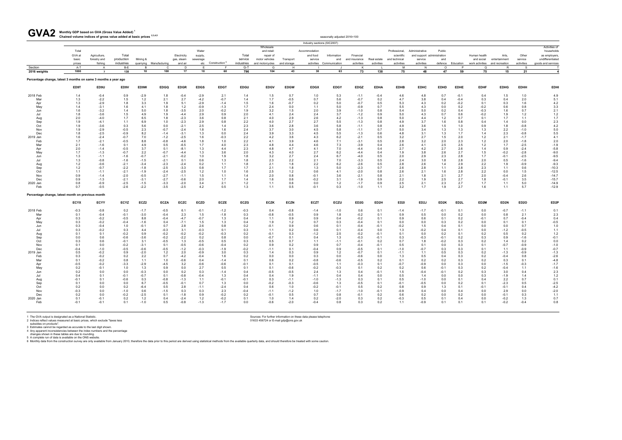#### **Monthly GDP based on GVA (Gross Value Added) <sup>1</sup>** GVA2 Monthly GDP based on GVA (Gross Value Added)<sup>1</sup><br>Chained volume indices of gross value added at basic prices <sup>2,3,4,5</sup>

| UVMZ                                                           | Chained volume indices of gross value added at basic prices 2,3,4,5 |                              |                     |                  |               |                           |                              |                  |                  |                                                         |             |                                      | seasonally adjusted 2016=100 |                            |               |                                              |                                                         |                   |                   |                            |                        |                  |                                                                  |
|----------------------------------------------------------------|---------------------------------------------------------------------|------------------------------|---------------------|------------------|---------------|---------------------------|------------------------------|------------------|------------------|---------------------------------------------------------|-------------|--------------------------------------|------------------------------|----------------------------|---------------|----------------------------------------------|---------------------------------------------------------|-------------------|-------------------|----------------------------|------------------------|------------------|------------------------------------------------------------------|
|                                                                |                                                                     |                              |                     |                  |               |                           |                              |                  |                  |                                                         |             | Industry sections (SIC2007)          |                              |                            |               |                                              |                                                         |                   |                   |                            |                        |                  |                                                                  |
|                                                                | Total<br>GVA at<br>basic                                            | Agriculture,<br>forestry and | Total<br>production | Mining &         |               | Electricity<br>gas, steam | Water<br>supply,<br>sewerage |                  | Total<br>service | Wholesale<br>and retail:<br>repair of<br>motor vehicles | Transport   | Accommodation<br>and food<br>service | Information<br>and           | Financial<br>and insurance | Real estate   | Professional,<br>scientific<br>and technical | Administrative<br>and support administration<br>service | Public<br>and     |                   | Human health<br>and social | Arts,<br>entertainment | Other<br>service | Activities of<br>households<br>as employers,<br>undifferentiated |
|                                                                | prices                                                              | fishing                      | industries          | quarrying        | Manufacturing | and air                   |                              | etc Construction | industries       | and motorcycles                                         | and storage | activities                           | Communication                | activities                 | activities    | activities                                   | activities                                              | defence           | Education         | work activities            | and recreation         | activities       | goods and services                                               |
| Section<br>2016 weights                                        | A-T<br>1000                                                         | A                            | B-E<br>138          | <b>B</b><br>10   | C.<br>100     | D<br>17                   | E<br>10                      | F<br>60          | G-T<br>796       | G<br>104                                                | H<br>43     | 30                                   | 63                           | K<br>73                    | 138           | M<br>75                                      | N<br>48                                                 | $\Omega$<br>47    | P<br>59           | $\Omega$<br>75             | R<br>15                | <b>S</b><br>21   | $\overline{4}$                                                   |
|                                                                |                                                                     | $\overline{7}$               |                     |                  |               |                           |                              |                  |                  |                                                         |             |                                      |                              |                            |               |                                              |                                                         |                   |                   |                            |                        |                  |                                                                  |
| Percentage change, latest 3 months on same 3 months a year ago |                                                                     |                              |                     |                  |               |                           |                              |                  |                  |                                                         |             |                                      |                              |                            |               |                                              |                                                         |                   |                   |                            |                        |                  |                                                                  |
|                                                                | ED9T                                                                | ED9U                         | ED9V                | ED9W             | <b>EDGQ</b>   | <b>EDGR</b>               | <b>EDGS</b>                  | <b>EDGT</b>      | <b>EDGU</b>      | <b>EDGV</b>                                             | <b>EDGW</b> | <b>EDGX</b>                          | <b>EDGY</b>                  | <b>EDGZ</b>                | <b>EDHA</b>   | <b>EDHB</b>                                  | <b>EDHC</b>                                             | <b>EDHD</b>       | <b>EDHE</b>       | <b>EDHF</b>                | <b>EDHG</b>            | <b>EDHH</b>      | <b>EDHI</b>                                                      |
| 2018 Feb                                                       | 1.4                                                                 | $-0.4$                       | 0.9                 | $-2.9$           | 1.8           | $-0.4$                    | $-2.9$                       | 2.1              | 1.4              | 1.5                                                     | 0.7         | 1.0                                  | 5.3                          | $-1.1$                     | $-0.4$        | 4.6                                          | 4.8                                                     | 0.7               | $-0.1$            | 0.4                        | 1.5                    | 1.0              | 4.9                                                              |
| Mar                                                            | 1.3                                                                 | $-2.2$                       | 1.5                 | 1.2              | 2.1           | 2.7                       | $-4.2$                       | $-0.7$           | 1.4              | 1.7                                                     | $-0.5$      | 0.7                                  | 5.6                          | $-0.7$                     | 0.2           | 4.7                                          | 3.8                                                     | 0.4               | $-0.4$            | 0.3                        | 0.4                    | 2.0              | 5.1                                                              |
| Apr                                                            | 1.3                                                                 | $-2.9$                       | 1.8                 | 3.3              | 1.9           | 5.1                       | $-2.9$                       | $-1.4$           | 1.5              | 1.6                                                     | $-0.7$      | 0.2                                  | 5.0                          | $-0.7$                     | 0.5           | 5.3                                          | 4.3                                                     | 0.2               | $-0.2$            | 0.1                        | 0.3                    | 1.6              | 4.2                                                              |
| May                                                            | 1.4                                                                 | $-3.1$                       | 1.6                 | 4.1              | 1.8           | 1.2                       | $-0.9$                       | $-1.3$           | 1.7              | 2.4                                                     | 0.0         | 1.1                                  | 5.0                          | $-0.9$                     | 0.7           | 5.5                                          | 4.3                                                     | 0.0               | 0.2               | $-0.2$                     | 0.6                    | 0.8              | 3.3                                                              |
| Jun                                                            | 1.6                                                                 | $-3.2$                       | 1.4                 | 5.0              | 1.8           | $-3.5$<br>$-4.4$          | 2.0                          | $-0.2$           | 1.9              | 3.2<br>4.1                                              | 1.5<br>2.4  | 2.0                                  | 3.9                          | $-1.0$                     | 0.8           | 5.4                                          | 5.0                                                     | 0.2               | 0.4<br>0.6        | $-0.3$                     | 1.6                    | 0.7              | 2.1                                                              |
| Jul                                                            | 1.8<br>2.0                                                          | $-3.6$<br>$-4.0$             | 1.5<br>1.7          | 4.9<br>6.5       | 1.9<br>1.8    | $-2.3$                    | 2.9<br>3.6                   | 0.9<br>0.8       | 2.0<br>2.1       | 4.0                                                     | 2.9         | 2.4<br>2.6                           | 3.7<br>4.2                   | $-1.2$<br>$-1.3$           | 0.9<br>0.8    | 5.0<br>5.0                                   | 4.3<br>4.4                                              | 0.7<br>1.2        | 0.7               | $-0.2$<br>0.1              | 1.9<br>1.7             | $1.2$<br>1.1     | 1.2<br>1.7                                                       |
| Aug<br>Sep                                                     | 1.9                                                                 | $-4.1$                       | 1.1                 | 6.9              | 1.0           | $-2.3$                    | 2.9                          | 0.8              | 2.2              | 4.0                                                     | 2.7         | 2.7                                  | 5.5                          | $-1.3$                     | 0.8           | 4.9                                          | 3.7                                                     | 1.6               | 0.8               | 0.4                        | 1.4                    | 0.0              | 2.3                                                              |
| Oct                                                            | 1.9                                                                 | $-3.6$                       | 0.3                 | 5.6              | 0.0           | $-2.1$                    | 2.5                          | 1.4              | 2.3              | 3.6                                                     | 2.8         | 3.6                                  | 5.8                          | $-1.1$                     | 0.8           | 4.9                                          | 3.6                                                     | 1.5               | 1.0               | 0.9                        | 1.8                    | $-0.8$           | 4.2                                                              |
| Nov                                                            | 1.9                                                                 | $-2.9$                       | $-0.5$              | 2.3              | $-0.7$        | $-2.4$                    | 1.8                          | 1.6              | 2.4              | 3.7                                                     | 3.0         | 4.5                                  | 5.8                          | $-1.1$                     | 0.7           | 5.0                                          | 3.4                                                     | 1.3               | 1.3               | 1.3                        | 2.2                    | $-1.0$           | 5.0                                                              |
| Dec                                                            | 1.8                                                                 | $-2.5$                       | $-0.9$              | 8.2              | $-1.4$        | $-3.1$                    | 1.3                          | 0.0              | 2.4              | 3.9                                                     | 3.3         | 4.5                                  | 5.5                          | $-1.3$                     | 0.6           | 4.8                                          | 3.1                                                     | 1.3               | 1.7               | 1.4                        | 2.3                    | $-0.8$           | 5.5                                                              |
| 2019 Jan                                                       | 1.6                                                                 | $-2.4$                       | $-0.7$              | 7.0              | $-1.2$        | $-2.5$                    | 1.6                          | $-0.3$           | 2.2              | 4.2                                                     | 3.6         | 4.3                                  | 6.2                          | $-2.1$                     | 0.5           | 3.2                                          | 2.7                                                     | 1.5               | 2.0               | 1.2                        | 2.1                    | $-1.7$           | 4.1                                                              |
| Feb                                                            | 1.7                                                                 | $-2.1$                       | $-0.5$              | 8.8              | $-0.8$        | $-4.6$                    | 1.8                          | 1.0              | 2.2              | 4.1                                                     | 3.9         | 4.6                                  | 7.1                          | $-3.1$                     | 0.5           | 2.8                                          | 3.2                                                     | 2.0               | 2.3               | 1.2                        | 2.0                    | $-1.8$           | 2.0                                                              |
| Mar                                                            | 2.1                                                                 | $-1.6$                       | 0.1                 | 4.9              | 0.5           | $-6.5$                    | 1.7                          | 4.0              | 2.3              | 4.8                                                     | 4.4         | 4.6                                  | 7.3                          | $-3.9$                     | 0.4           | 2.6                                          | 4.1                                                     | 2.5               | 2.5               | 1.2                        | 1.7                    | $-2.5$           | $-1.9$                                                           |
| Apr                                                            | 2.0                                                                 | $-1.4$                       | $-0.5$              | 3.7              | 0.1           | $-8.1$                    | 1.3                          | 4.4              | 2.3              | 4.8                                                     | 4.7         | 4.1                                  | 7.0                          | $-4.4$                     | 0.4           | 2.7                                          | 4.2                                                     | 2.7               | 2.6               | 1.4                        | 0.9                    | $-2.4$           | $-5.8$                                                           |
| May                                                            | 1.7                                                                 | $-1.3$                       | $-0.7$              | 2.2              | $-0.7$        | $-4.4$                    | 1.3                          | 3.6              | 2.0              | 4.3                                                     | 4.0         | 2.7                                  | 6.2                          | $-4.4$                     | 0.4           | 1.9                                          | 3.8                                                     | 2.6               | 2.7               | 1.5                        | $-0.2$                 | $-2.8$           | $-9.0$                                                           |
| Jun                                                            | 1.3                                                                 | $-1.1$                       | $-1.6$              | $-0.7$           | $-2.1$        | $-0.2$                    | 1.0                          | 1.9              | 1.8              | 3.2                                                     | 2.7         | 2.4                                  | 6.7                          | $-4.0$                     | 0.5           | 2.0                                          | 2.9                                                     | 2.3               | 2.8               | 1.7                        | $-0.1$                 | $-2.5$           | $-9.5$                                                           |
| Jul                                                            | 1.3                                                                 | $-0.8$                       | $-1.6$              | $-1.5$           | $-2.1$        | 0.1                       | 0.6                          | 1.3              | 1.8              | 2.3                                                     | 2.2         | 2.1                                  | 7.0                          | $-3.3$                     | 0.5           | 2.4                                          | 3.0                                                     | 1.8               | 2.8               | 2.0                        | 0.5                    | $-1.6$           | $-9.4$                                                           |
| Aug                                                            | 1.2                                                                 | $-0.6$                       | $-2.1$              | $-3.4$           | $-2.3$        | $-2.4$                    | 0.2                          | 1.1              | 1.8              | 2.1                                                     | 1.8         | 2.2                                  | 6.2                          | $-2.6$                     | 0.5           | 2.8                                          | 2.6                                                     | 1.4               | 2.9               | 2.2                        | 1.9                    | $-0.9$           | $-9.3$                                                           |
| Sep                                                            | 1.2                                                                 | $-0.7$                       | $-2.2$              | $-1.8$           | $-2.5$        | $-3.3$                    | 0.8                          | 1.7              | 1.7              | 2.1                                                     | 1.8         | 1.3                                  | 5.0                          | $-2.3$                     | 0.7           | 2.6                                          | 2.8                                                     | 1.1               | 2.8               | 2.3                        | 1.1                    | 0.6              | $-10.3$                                                          |
| Oct                                                            | 1.1                                                                 | $-1.1$                       | $-2.1$              | $-1.9$           | $-2.4$        | $-2.5$                    | 1.2                          | 1.0              | 1.6              | 2.5                                                     | 1.2         | 0.6                                  | 4.1                          | $-2.0$                     | 0.8           | 2.6                                          | 2.1                                                     | 1.6               | 2.8               | 2.2                        | 0.0                    | 1.5              | $-12.5$                                                          |
| Nov                                                            | 0.9                                                                 | $-1.4$                       | $-2.0$              | $-0.5$           | $-2.7$        | $-1.1$                    | 1.5                          | 1.1              | 1.4              | 2.0                                                     | 0.8         | $-0.1$                               | 3.6                          | $-2.1$                     | 0.8           | 2.1                                          | 1.8                                                     | 2.1               | 2.7               | 2.0                        | $-0.4$                 | 2.6              | $-14.7$                                                          |
| Dec                                                            | 0.9                                                                 | $-1.3$                       | $-2.1$              | $-3.1$           | $-2.7$        | $-0.6$                    | 2.0                          | 1.7              | 1.4              | 1.6                                                     | 0.6         | $-0.2$                               | 3.1                          | $-1.9$                     | 0.9           | 2.2                                          | 1.9                                                     | 2.5               | 2.7               | 1.8                        | $-0.1$                 | 3.5              | $-15.7$                                                          |
| 2020 Jan                                                       | 0.8                                                                 | $-0.9$                       | $-2.5$              | $-1.5$           | $-3.3$        | $-2.0$                    | 3.4                          | 2.1              | 1.2              | 1.1                                                     | 0.6         | 0.0                                  | 1.2                          | $-1.7$                     | 0.9           | 2.5                                          | 2.1                                                     | 2.3               | 2.7               | 1.7                        | 1.1                    | 5.0              | $-14.9$                                                          |
| Feb                                                            | 0.7                                                                 | $-0.5$                       | $-2.6$              | $-2.2$           | $-3.5$        | $-2.5$                    | 4.2                          | 0.5              | 1.3              | 1.1                                                     | 0.5         | $-0.1$                               | 0.3                          | $-1.0$                     | 1.1           | 3.2                                          | 1.7                                                     | 1.9               | 2.7               | 1.6                        | 1.1                    | 5.7              | $-12.9$                                                          |
| Percentage change, latest month on previous month              |                                                                     |                              |                     |                  |               |                           |                              |                  |                  |                                                         |             |                                      |                              |                            |               |                                              |                                                         |                   |                   |                            |                        |                  |                                                                  |
|                                                                | <b>ECYX</b>                                                         | ECYY                         | <b>ECYZ</b>         | ECZ <sub>2</sub> | <b>ECZA</b>   | <b>ECZC</b>               | <b>ECZD</b>                  | <b>ECZE</b>      | <b>ECZG</b>      | <b>ECZK</b>                                             | <b>ECZN</b> | <b>ECZT</b>                          | <b>ECZU</b>                  | ED <sub>2</sub> G          | ED2H          | ED <sub>21</sub>                             | ED <sub>2</sub> J                                       | ED <sub>2</sub> K | ED <sub>2</sub> L | ED <sub>2</sub> M          | ED2N                   | ED <sub>20</sub> | ED <sub>2</sub> P                                                |
| 2018 Feb                                                       | $-0.3$                                                              | $-0.8$                       | 0.2                 | $-1.7$           | $-0.5$        | 6.1                       | $-0.1$                       | $-1.2$           | $-0.3$           | 0.4                                                     | $-0.8$      | $-1.4$                               | $-1.0$                       | 0.6                        | 0.1           | $-1.4$                                       | $-1.7$                                                  | $-0.1$            | 0.1               | 0.0                        | $-0.7$                 | $-1.1$           | 0.1                                                              |
| Mar                                                            | 0.1                                                                 | $-0.4$                       | $-0.1$              | $-3.0$           | $-0.4$        | 2.3                       | 1.5                          | $-1.8$           | 0.3              | $-0.8$                                                  | $-0.5$      | 0.9                                  | 1.8                          | $-0.2$                     | 0.1           | 0.9                                          | 0.5                                                     | 0.0               | 0.2               | 0.0                        | 0.8                    | 2.1              | 2.3                                                              |
| Apr                                                            | 0.3                                                                 | $-0.2$                       | $-0.5$              | 8.8              | $-0.4$        | $-4.7$                    | $-0.7$                       | 1.3              | 0.4              | 1.1                                                     | 0.9         | 0.9                                  | 0.4                          | $-0.2$                     | 0.1           | 0.9                                          | 0.6                                                     | 0.1               | 0.2               | $-0.1$                     | 0.7                    | $-0.4$           | 0.4                                                              |
| May                                                            | 0.3                                                                 | $-0.2$                       | $-0.4$              | $-1.6$           | 0.4           | $-7.1$                    | 1.5                          | 1.3              | 0.4              | 1.9                                                     | 1.2         | 0.7                                  | 0.3                          | $-0.4$                     | 0.1           | 0.0                                          | 0.0                                                     | 0.3               | 0.2               | 0.0                        | 0.1                    | 0.1              | $-0.5$                                                           |
| Jun                                                            | 0.3                                                                 | $-0.4$                       | 1.0                 | $-0.1$           | 0.7           | 2.8                       | 2.6                          | 0.8              | 0.2              | $-0.1$                                                  | 0.9         | 0.6                                  | 0.1                          | $-0.4$                     | $-0.1$        | $-0.2$                                       | 1.5                                                     | 0.4               | 0.1               | 0.0                        | 0.0                    | 0.7              | 1.0                                                              |
| Jul                                                            | 0.3                                                                 | $-0.2$                       | 0.3                 | 4.4              | $-0.3$        | 3.1                       | $-0.3$                       | 0.1              | 0.3              | 1.1                                                     | 0.2         | 0.6                                  | 0.1                          | $-0.4$                     | 0.0           | 1.3                                          | $-0.2$                                                  | 0.4               | 0.1               | 0.0                        | $-1.2$                 | $-0.5$           | 1.1                                                              |
| Aug                                                            | 0.1                                                                 | 0.1                          | $-0.2$              | 0.9              | $-0.2$        | $-0.2$                    | $-0.2$                       | $-0.3$           | 0.2              | $-0.1$                                                  | 0.3         | $-1.2$                               | 2.5                          | $-0.2$                     | $-0.1$        | 0.1                                          | 0.0                                                     | 0.2               | 0.1               | 0.2                        | 0.5                    | 0.2              | 1.2                                                              |
| Sep                                                            | 0.0                                                                 | 0.6                          | $-0.6$              | $-3.6$           | $-0.2$        | $-2.2$                    | 0.2                          | 0.8              | 0.0              | $-0.7$                                                  | 0.1         | 0.4                                  | 1.3                          | $-0.3$                     | $-0.1$        | 0.3                                          | $-0.3$                                                  | $-0.1$            | 0.2               | 0.3                        | 0.9                    | $-1.6$           | $-0.1$                                                           |
| Oct                                                            | 0.3                                                                 | 0.6                          | $-0.1$              | 3.1              | $-0.5$        | 1.3                       | $-0.5$                       | 0.5              | 0.3              | 0.5                                                     | 0.7         | 1.1                                  | $-1.1$                       | $-0.1$                     | 0.2           | 0.7                                          | 1.8                                                     | $-0.2$            | 0.3               | 0.2                        | 1.4                    | 0.2              | 0.0                                                              |
| Nov<br>Dec                                                     | 0.1<br>$-0.4$                                                       | 0.0<br>$-1.0$                | $-0.2$<br>$-0.5$    | $-3.1$<br>$-0.6$ | 0.1<br>$-0.5$ | $-0.5$<br>$-1.2$          | $-0.6$<br>$-0.3$             | $-0.4$<br>$-1.9$ | 0.2<br>$-0.2$    | 0.9<br>$-1.1$                                           | 0.2<br>0.1  | 0.9<br>$-0.4$                        | 0.7<br>0.9                   | $-0.4$<br>$-0.5$           | $-0.1$<br>0.1 | 0.5<br>$-1.0$                                | 0.1<br>$-0.7$                                           | 0.0<br>0.3        | 0.3<br>0.3        | 0.1<br>0.1                 | $-0.7$<br>1.1          | $-0.9$<br>$-0.9$ | $-1.0$<br>$-0.7$                                                 |
| 2019 Jan                                                       | 0.5                                                                 | $-0.2$                       | 0.9                 | $-2.0$           | 1.2           | 2.0                       | $-0.9$                       | 3.0              | 0.3              | 1.4                                                     | 0.3         | 0.9                                  | 1.2                          | $-0.7$                     | 0.1           | $-1.1$                                       | 1.1                                                     | 0.5               | 0.3               | 0.2                        | $-1.3$                 | $-0.9$           | $-1.3$                                                           |
| Feb                                                            | 0.3                                                                 | $-0.2$                       | 0.2                 | 2.2              | 0.7           | $-4.2$                    | $-0.4$                       | 1.6              | 0.2              | 0.0                                                     | 0.0         | 0.3                                  | 0.0                          | $-0.6$                     | 0.0           | 1.3                                          | 0.5                                                     | 0.4               | 0.3               | 0.2                        | $-0.4$                 | 0.8              | $-2.6$                                                           |
| Mar                                                            | 0.1                                                                 | $-0.2$                       | 0.8                 | 1.1              | 1.0           | $-0.6$                    | 0.4                          | $-1.4$           | 0.1              | 0.6                                                     | 0.2         | $-0.8$                               | $-0.6$                       | $-0.5$                     | 0.2           | 0.1                                          | 0.2                                                     | 0.2               | 0.3               | 0.2                        | 0.3                    | 0.1              | $-4.8$                                                           |
| Apr                                                            | $-0.5$                                                              | $-0.2$                       | $-3.3$              | $-2.9$           | $-4.5$        | 3.2                       | $-0.6$                       | $-0.6$           | $-0.1$           | 0.1                                                     | 0.1         | $-0.5$                               | 1.1                          | $-0.3$                     | 0.1           | $-0.7$                                       | $-0.9$                                                  | 0.0               | 0.3               | 0.0                        | $-1.5$                 | $-0.3$           | $-1.7$                                                           |
| May                                                            | 0.2                                                                 | $-0.1$                       | 1.0                 | 1.3              | 0.9           | 0.0                       | 2.7                          | 0.5              | 0.1              | 0.1                                                     | -0.6        | $-0.2$                               | $-0.3$                       | 0.1                        | 0.2           | 0.2                                          | 0.6                                                     | $-0.1$            | 0.3               | 0.2                        | $-0.4$                 | 1.1              | $-1.6$                                                           |
| Jun                                                            | 0.2                                                                 | 0.0                          | 0.0                 | $-0.3$           | $0.0\,$       | 0.2                       | 0.3                          | $-1.4$           | 0.4              | $-0.5$                                                  | $-0.5$      | 2.4                                  | 1.3                          | 0.4                        | $-0.1$        | $1.5\,$                                      | $-0.4$                                                  | $-0.1$            | 0.2               | 0.3                        | 3.0                    | 0.4              |                                                                  |
| Jul                                                            | 0.4                                                                 | 0.1                          | $-0.1$              | $-0.7$           | 0.1           | $-0.8$                    | $-0.4$                       | 1.3              | 0.4              | 0.4                                                     | 1.9         | $-1.1$                               | 0.4                          | 0.4                        | 0.0           | 0.5                                          | 1.4                                                     | 0.0               | 0.0               | 0.3                        | $-1.9$                 | 1.4              | $2.3$<br>1.2                                                     |
| Aug                                                            | $-0.1$                                                              | 0.1                          | $-0.6$              | 0.3              | $-0.8$        | $-1.3$                    | 1.1                          | $-0.1$           | $-0.1$           | 0.3                                                     | $-1.1$      | $-1.0$                               | $-1.3$                       | 0.3                        | 0.1           | 0.5                                          | $-1.0$                                                  | 0.0               | 0.1               | 0.4                        | 2.2                    | 0.7              |                                                                  |
| Sep                                                            | 0.1                                                                 | 0.0                          | 0.0                 | 6.7              | $-0.5$        | $-0.1$                    | 0.7                          | 1.3              | 0.0              | $-0.2$                                                  | $-0.3$      | $-0.6$                               | 1.3                          | $-0.5$                     | 0.1           | $-0.1$                                       | $-0.5$                                                  | 0.0               | 0.2               | 0.1                        | $-2.3$                 | 0.5              |                                                                  |
| Oct                                                            | 0.2                                                                 | 0.0                          | 0.2                 | $-6.4$           | 0.5           | 2.8                       | $-1.1$                       | $-2.4$           | 0.4              | 0.6                                                     | 1.0         | $-0.2$                               | $-0.1$                       | 0.5                        | 0.2           | 0.8                                          | 0.9                                                     | 1.3               | 0.1               | -0.1                       | $-0.1$                 | 0.4              |                                                                  |
| Nov                                                            | $-0.3$                                                              | 0.0                          | $-1.0$              | 0.6              | $-1.5$        | 0.3                       | 0.3                          | 2.3              | $-0.4$           | $-1.1$                                                  | $-1.2$      | 1.0                                  | $-1.7$                       | $-1.0$                     | -0.1          | $-0.9$                                       | 0.4                                                     | 0.0               | 0.4               | 0.0                        | 2.9                    | 0.0              | $0.1 - 2.5 - 4.2 - 2.0 - 1.1$                                    |
| Dec                                                            | 0.2                                                                 | 0.0                          | $-0.2$              | $-2.5$           | 0.1           | $-1.8$                    | 0.9                          | $-0.2$           | 0.2              | $-0.1$                                                  | 0.5         | 0.7                                  | 0.8                          | $-0.1$                     | 0.2           | 0.6                                          | 0.2                                                     | 0.0               | 0.2               | 0.0                        | $-0.1$                 | 0.3              |                                                                  |
| 2020 Jan                                                       | 0.1                                                                 | $-0.1$                       | 0.2                 | 1.2              | 0.4           | $-2.4$                    | 1.2                          | $-0.2$           | 0.1              | 1.0                                                     | 1.4         | 0.2                                  | $-2.0$                       | 0.3                        | 0.2           | $-0.3$                                       | 0.5                                                     | 0.1               | 0.4               | 0.0                        | $-0.2$                 | 1.3              | $0.7\,$                                                          |
| Feb                                                            | $-0.1$                                                              | $-0.1$                       | 0.1                 | $-1.0$           | 0.5           | $-0.8$                    | $-1.3$                       | $-1.7$           | 0.0              | $-0.6$                                                  | $-2.0$      | $-0.4$                               | 0.8                          | 0.3                        | 0.2           | 1.1                                          | $-0.9$                                                  | 0.1               | 0.1               | 0.1                        | $-0.2$                 | $-0.4$           | $0.8\,$                                                          |
|                                                                |                                                                     |                              |                     |                  |               |                           |                              |                  |                  |                                                         |             |                                      |                              |                            |               |                                              |                                                         |                   |                   |                            |                        |                  |                                                                  |
|                                                                |                                                                     |                              |                     |                  |               |                           |                              |                  |                  |                                                         |             |                                      |                              |                            |               |                                              |                                                         |                   |                   |                            |                        |                  |                                                                  |

1 The GVA output is designated as a National Statistic.<br>2 Indices reflect values measured at basic prices, which exclude "taxes less<br>3 Istimates cannot be regarded as accurate to the last digit shown.<br>4 Any apparent incons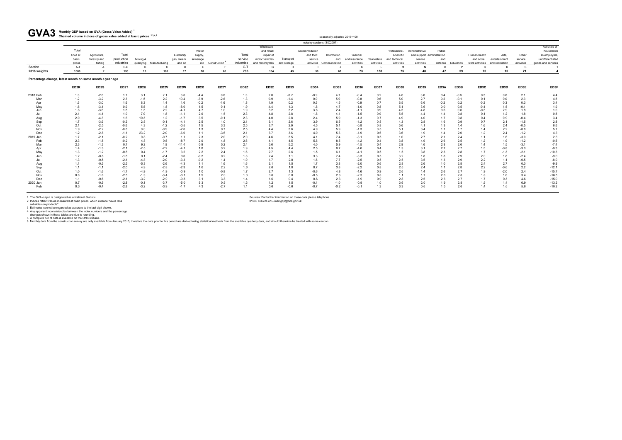#### **Monthly GDP based on GVA (Gross Value Added) <sup>1</sup>** GVA3 Monthly GDP based on GVA (Gross Value Added)<sup>1</sup><br>Chained volume indices of gross value added at basic prices <sup>2,3,4,5</sup>

| <b>UVAJ</b>                                              | Chained volume indices of gross value added at basic prices 2,3,4,5 |                                         |                                   |                  |                         |                                      |                     |                   |                                |                                                |                          |                             | seasonally adjusted 2016=100                   |                                          |                           |                                           |                                                     |            |                   |                            |                                                         |                                |                                                        |
|----------------------------------------------------------|---------------------------------------------------------------------|-----------------------------------------|-----------------------------------|------------------|-------------------------|--------------------------------------|---------------------|-------------------|--------------------------------|------------------------------------------------|--------------------------|-----------------------------|------------------------------------------------|------------------------------------------|---------------------------|-------------------------------------------|-----------------------------------------------------|------------|-------------------|----------------------------|---------------------------------------------------------|--------------------------------|--------------------------------------------------------|
|                                                          |                                                                     |                                         |                                   |                  |                         |                                      |                     |                   |                                |                                                |                          | Industry sections (SIC2007) |                                                |                                          |                           |                                           |                                                     |            |                   |                            |                                                         |                                |                                                        |
|                                                          | Total                                                               |                                         |                                   |                  |                         |                                      | Water               |                   |                                | Wholesale<br>and retail:                       |                          | Accommodation               |                                                |                                          |                           | Professional.                             | Administrative                                      | Public     |                   |                            |                                                         |                                | Activities of<br>households                            |
|                                                          | GVA at<br>basic<br>prices                                           | Agriculture,<br>forestry and<br>fishing | Total<br>production<br>industries | Mining &         | quarrying Manufacturing | Electricity<br>gas, steam<br>and air | supply,<br>sewerage | etc Construction  | Total<br>service<br>industries | repair of<br>motor vehicles<br>and motorcycles | Transport<br>and storage | and food<br>service         | Information<br>and<br>activities Communication | Financial<br>and insurance<br>activities | Real estate<br>activities | scientific<br>and technical<br>activities | and support administration<br>service<br>activities | and        | defence Education | Human health<br>and social | Arts<br>entertainment<br>work activities and recreation | Other<br>service<br>activities | as employers<br>undifferentiated<br>goods and services |
| Section                                                  | A-T                                                                 |                                         | $B-E$                             |                  |                         | <sub>D</sub>                         |                     |                   | $G-T$                          | G                                              | H                        |                             |                                                |                                          |                           | M                                         |                                                     | $\Omega$   | D                 | $\Omega$                   |                                                         | <b>S</b>                       |                                                        |
| 2016 weights                                             | 1000                                                                | $\overline{7}$                          | 138                               | 10               | 100                     | 17                                   | 10                  | 60                | 796                            | 104                                            | 43                       | 30                          | 63                                             | 73                                       | 138                       | 75                                        | 48                                                  | 47         | 59                | 75                         | 15                                                      | 21                             |                                                        |
| Percentage change, latest month on same month a year ago |                                                                     |                                         |                                   |                  |                         |                                      |                     |                   |                                |                                                |                          |                             |                                                |                                          |                           |                                           |                                                     |            |                   |                            |                                                         |                                |                                                        |
|                                                          | ED <sub>2R</sub>                                                    | ED2S                                    | ED <sub>2</sub> T                 | ED <sub>2U</sub> | ED <sub>2V</sub>        | ED2W                                 | ED <sub>2</sub> X   | ED <sub>2</sub> Y | ED <sub>2</sub> Z              | ED32                                           | <b>ED33</b>              | <b>ED34</b>                 | <b>ED35</b>                                    | <b>ED36</b>                              | <b>ED37</b>               | <b>ED38</b>                               | ED39                                                | ED3A       | ED3B              | ED3C                       | ED3D                                                    | ED3E                           | ED3F                                                   |
| 2018 Feb                                                 | 1.3                                                                 | $-2.6$                                  | 1.7                               | 3.1              | 2.1                     | 3.6                                  | $-4.4$              | 0.0               | 1.3                            | 2.0                                            | $-0.7$                   | $-0.9$                      | 4.7                                            | $-0.4$                                   | 0.2                       | 4.6                                       | 3.6                                                 | 0.4        | $-0.5$            | 0.3                        | 0.6                                                     | 2.1                            | 4.4                                                    |
| Mar                                                      | 1.2                                                                 | $-3.2$                                  | 2.3                               | $-1.5$           | 2.2                     | 10.4                                 | $-3.9$              | $-2.6$            | 1.3                            | 0.9                                            | $-1.4$                   | 0.9                         | 5.9                                            | $-0.8$                                   | 0.6                       | 5.0                                       | 2.7                                                 | 0.2        | $-0.1$            | 0.1                        | 0.0                                                     | 2.3                            | 4.8                                                    |
| Apr                                                      | 1.5                                                                 | $-3.0$                                  | 1.6                               | 8.3              | 1.4                     | 1.6                                  | $-0.2$              | $-1.6$            | 1.8                            | 1.9                                            | 0.2                      | 0.5                         | 4.5                                            | $-0.9$                                   | 0.7                       | 6.5                                       | 6.6                                                 | $-0.2$     | 0.2               | $-0.2$                     | 0.3                                                     | 0.3                            | 3.4                                                    |
| Mav                                                      | 1.6                                                                 | $-3.1$                                  | 0.9                               | 5.5              | 1.8                     | $-8.0$                               | 1.5                 | 0.1               | 1.9                            | 4.4                                            | 1.3                      | 1.8                         | 4.7                                            | $-1.0$                                   | 0.8                       | 5.1                                       | 3.6                                                 | 0.0        | 0.5               | $-0.4$                     | 1.5                                                     | $-0.1$                         | 1.9                                                    |
| Jun                                                      | 1.8                                                                 | $-3.6$                                  | 1.8                               | 1.3              | 2.2                     | $-4.1$                               | 4.7                 | 1.0               | 1.9                            | 3.2                                            | 3.2                      | 3.6                         | 2.4                                            | $-1.1$                                   | 0.9                       | 4.5                                       | 4.8                                                 | 0.6        | 0.6               | $-0.3$                     | 2.9                                                     | 1.8                            | 1.0                                                    |
|                                                          | 2.1                                                                 | $-4.1$                                  | 1.9                               | 7.9              | 1.8                     | $-1.1$                               | 2.6                 | 1.5               | 2.3                            | 4.8                                            | 2.8                      | 1.8                         | 4.1                                            | $-1.5$                                   | 0.9                       | 5.5                                       | 4.4                                                 | 1.4        | 0.8               | 0.1                        | 1.2                                                     | 1.8                            | 0.8                                                    |
| Aug                                                      | 2.0                                                                 | $-4.3$                                  | 1.6                               | 10.3             | 1.2                     | $-1.7$                               | 3.5                 | $-0.1$            | 2.3                            | 4.0                                            | 2.8                      | 2.4                         | 5.9                                            | $-1.3$                                   | 0.7                       | 4.9                                       | 4.0                                                 | 1.7        | 0.8               | 0.4                        | 0.9                                                     | $-0.4$                         | 3.4                                                    |
| Sep                                                      | 1.7                                                                 | $-3.9$                                  | $-0.2$                            | 2.5              | $-0.1$                  | $-4.1$                               | 2.5                 | 1.0               | 2.1                            | 3.1                                            | 2.6                      | 3.9                         | 6.5                                            | $-1.2$                                   | 0.8                       | 4.3                                       | 2.8                                                 | 1.6        | 0.9               | 0.7                        | 2.1                                                     | $-1.5$                         | 2.8                                                    |
| Oct                                                      | 2.1                                                                 | $-2.5$                                  | $-0.6$                            | 4.3              | $-1.2$                  | $-0.5$                               | 1.5                 | 3.3               | 2.5                            | 3.7                                            | 2.9                      | 4.5                         | 5.1                                            | $-0.8$                                   | 0.8                       | 5.6                                       | 4.1                                                 | 1.3        |                   | 1.6                        | 2.4                                                     | $-0.5$                         | 6.6                                                    |
| Nov                                                      | 1.9                                                                 | $-2.2$                                  | $-0.8$                            | 0.0              | $-0.9$                  | $-2.6$                               | 1.3                 | 0.7               | 2.5                            | 4.4                                            | 3.6                      | 4.9                         | 5.9                                            | $-1.3$                                   | 0.5                       | 5.1                                       | 3.4                                                 | 1.1        | 1.7               | 1.4                        | 2.2                                                     | $-0.8$                         | 5.7                                                    |
| Dec                                                      | 1.2                                                                 | $-2.8$                                  | $-1.1$                            | 23.2             | $-2.0$                  | $-6.0$                               | 1.1                 | $-3.6$            | 2.1                            | 3.7                                            | 3.6                      | 4.0                         | 5.3                                            | $-1.9$                                   | 0.6                       | 3.6                                       | 1.9                                                 | 1.4        | 2.0               | 1.2                        | 2.4                                                     | $-1.2$                         | 4.3                                                    |
| 2019 Jan                                                 | 1.7                                                                 | $-2.1$                                  | $-0.2$                            | 0.8              | $-0.7$                  | 1.1                                  | 2.3                 | 2.0               | 2.0                            | 4.6                                            | 3.5                      | 4.1                         | 7.4                                            | $-3.1$                                   | 0.5                       | 1.0                                       | 2.7                                                 | 2.1        | 2.4               | 1.1                        | 1.6                                                     | $-3.0$                         | 2.3                                                    |
| Feb                                                      | 2.3                                                                 | $-1.5$                                  | $-0.2$                            | 4.8              | 0.5                     | $-8.7$                               | 2.0                 | 4.8               | 2.6                            | 4.1                                            | 4.5                      | 5.8                         | 8.5                                            | $-4.2$                                   | 0.4                       | 3.8                                       | 4.9                                                 | 2.6        | 2.5               | 1.2                        | 1.9                                                     | $-1.2$                         | $-0.5$                                                 |
| Mar                                                      | 2.3<br>1.4                                                          | $-1.3$<br>$-1.3$                        | 0.7<br>$-2.1$                     | 9.2<br>$-2.5$    | 1.9<br>$-2.2$           | $-11.4$                              | 0.9<br>1.0          | 5.2<br>3.2        | 2.4                            | 5.6<br>4.5                                     | 5.2<br>4.4               | 4.0<br>2.5                  | 5.9<br>6.7                                     | $-4.5$<br>$-4.6$                         | 0.4<br>0.4                | 2.9                                       | 4.6<br>3.1                                          | 2.8<br>2.7 | 2.6<br>2.7        | 1.4                        | 1.5<br>$-0.8$                                           | $-3.1$                         | $-7.4$<br>$-9.3$                                       |
| Apr                                                      | 1.3                                                                 | $-1.2$                                  |                                   |                  | $-1.7$                  | $-4.1$<br>3.2                        | 2.2                 | 2.4               | 1.9<br>1.6                     | 2.7                                            | 2.6                      | 1.5                         | 6.1                                            |                                          | 0.5                       | 1.3<br>1.5                                | 3.8                                                 | 2.3        | 2.8               | 1.5<br>1.7                 | $-1.3$                                                  | $-3.0$<br>$-2.1$               | $-10.3$                                                |
| May<br>Jun                                               | 1.2                                                                 | $-0.8$                                  | $-0.8$<br>$-1.8$                  | 0.4<br>0.1       | $-2.4$                  | 0.6                                  | $-0.2$              | 0.2               | 1.8                            | 2.4                                            | 1.1                      | 3.3                         | 7.4                                            | $-4.1$<br>$-3.3$                         | 0.5                       | 3.2                                       | 1.8                                                 | 1.8        | 2.9               | 2.0                        | 1.8                                                     | $-2.4$                         | $-9.0$                                                 |
| Jul                                                      | 1.3                                                                 | $-0.5$                                  | $-2.1$                            | $-4.8$           | $-2.0$                  | $-3.3$                               | $-0.2$              | 1.4               | 1.9                            | 1.7                                            | 2.8                      | 1.6                         | 7.7                                            | $-2.5$                                   | 0.5                       | 2.5                                       | 3.5                                                 | 1.3        | 2.9               | 2.2                        | 1.1                                                     | $-0.5$                         | $-8.9$                                                 |
| Aug                                                      | 1.1                                                                 | $-0.5$                                  | $-2.5$                            | $-5.3$           | $-2.6$                  | $-4.3$                               | 1.1                 | 1.6               | 1.6                            | 2.1                                            | 1.5                      | 1.7                         | 3.8                                            | $-2.0$                                   | 0.6                       | 2.8                                       | 2.6                                                 | 1.0        | 2.8               | 2.4                        | 2.7                                                     | 0.0                            | $-9.9$                                                 |
| Sep                                                      | 1.1                                                                 | $-1.1$                                  | $-2.0$                            | 4.9              | $-2.8$                  | $-2.3$                               | 1.6                 | 2.2               | 1.6                            | 2.6                                            | 1.0                      | 0.7                         | 3.8                                            | $-2.2$                                   | 0.8                       | 2.5                                       | 2.4                                                 | 1.1        | 2.8               | 2.2                        | $-0.6$                                                  | 2.2                            | $-12.1$                                                |
| Oct                                                      | 1.0                                                                 | $-1.6$                                  | $-1.7$                            | $-4.9$           | $-1.9$                  | $-0.9$                               | 1.0                 | $-0.8$            | 1.7                            | 2.7                                            | 1.3                      | $-0.6$                      | 4.8                                            | $-1.6$                                   | 0.9                       | 2.6                                       | 1.4                                                 | 2.6        | 2.7               | 1.9                        | $-2.0$                                                  | 2.4                            | $-15.7$                                                |
| Nov                                                      | 0.6                                                                 | $-1.6$                                  | $-2.5$                            | $-1.3$           | $-3.4$                  | $-0.1$                               | 1.9                 | 2.0               | 1.0                            | 0.6                                            | 0.0                      | $-0.5$                      | 2.3                                            | $-2.3$                                   | 0.8                       | 1.1                                       | 1.7                                                 | 2.6        | 2.8               | 1.8                        | 1.6                                                     | 3.4                            | $-16.5$                                                |
| Dec                                                      | 1.1                                                                 | $-0.6$                                  | $-2.1$                            | $-3.2$           | $-2.9$                  | $-0.8$                               | 3.1                 | 3.8               |                                | 1.6                                            | 0 <sub>4</sub>           | 0.6                         | 2.3                                            | $-1.9$                                   | 0.9                       | 2.8                                       | 2.6                                                 | 2.3        | 2.7               | 1.7                        | 0.3                                                     | 4.6                            | $-15.0$                                                |
| 2020 Jan                                                 | 0.7                                                                 | $-0.5$                                  | $-2.8$                            | $-0.1$           | $-3.7$                  | $-5.0$                               | 5.3                 | 0.5               | 1.3                            | 1.2                                            | 1.5                      | $-0.1$                      | $-1.0$                                         | $-0.9$                                   | 1.0                       | 3.6                                       | 2.0                                                 | 1.9        | 2.8               | 1.5                        | 1.4                                                     | 6.9                            | $-13.3$                                                |
| Feb                                                      | 0.3                                                                 | $-0.4$                                  | $-2.8$                            | $-3.2$           | $-3.9$                  | $-1.7$                               | 4.3                 | $-2.7$            | 1.1                            | 0.6                                            | $-0.6$                   | $-0.7$                      | $-0.2$                                         | $-0.1$                                   | 1.3                       | 3.3                                       | 0.6                                                 | 1.5        | 2.6               | 1.4                        | 1.6                                                     | 5.6                            | $-10.2$                                                |
|                                                          |                                                                     |                                         |                                   |                  |                         |                                      |                     |                   |                                |                                                |                          |                             |                                                |                                          |                           |                                           |                                                     |            |                   |                            |                                                         |                                |                                                        |

1 The GVA output is designated as a National Statistic.<br>2 Indices reflect values measured at basic prices, which exclude "taxes less<br>3 Istimates cannot be regarded as accurate to the last digit shown.<br>4 Any apparent incons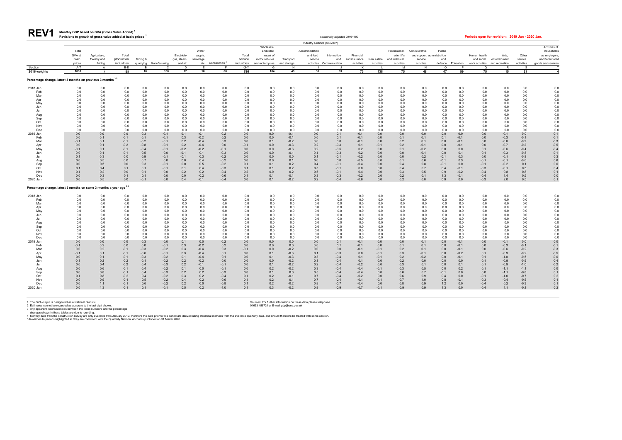| seasonally adjusted 2016=100 | Periods open for revision: 2019 Jan - 2020 Jan |  |
|------------------------------|------------------------------------------------|--|

| <b>REV1</b> | Monthly GDP based on GVA (Gross Value Added) <sup>1</sup>             |
|-------------|-----------------------------------------------------------------------|
|             | Revisions to growth of gross value added at basic prices <sup>2</sup> |

|                                                                              |                 |                              |                  |               |                         |                           |                     |                               |               |                             |                  | Industry sections (SIC2007) |                          |                            |               |                             |                                       |               |                  |                            |                        |                  |                                  |
|------------------------------------------------------------------------------|-----------------|------------------------------|------------------|---------------|-------------------------|---------------------------|---------------------|-------------------------------|---------------|-----------------------------|------------------|-----------------------------|--------------------------|----------------------------|---------------|-----------------------------|---------------------------------------|---------------|------------------|----------------------------|------------------------|------------------|----------------------------------|
|                                                                              |                 |                              |                  |               |                         |                           |                     |                               |               | Wholesale                   |                  |                             |                          |                            |               |                             |                                       |               |                  |                            |                        |                  | Activities of                    |
|                                                                              | Total<br>GVA at |                              | Total            |               |                         |                           | Water               |                               | Total         | and retail:                 |                  | Accommodation               |                          |                            |               | Professional,               | Administrative                        | Public        |                  |                            |                        |                  | households                       |
|                                                                              | basic           | Agriculture,<br>forestry and | production       | Mining &      |                         | Electricity<br>gas, steam | supply,<br>sewerage |                               | service       | repair of<br>motor vehicles | Transport        | and food<br>service         | Information<br>and       | Financial<br>and insurance | Real estate   | scientific<br>and technical | and support administration<br>service | and           |                  | Human health<br>and social | Arts,<br>entertainment | Other<br>service | as employers<br>undifferentiated |
|                                                                              | prices          | fishing                      | industries       |               | quarrying Manufacturing | and air                   |                     | etc Construction <sup>4</sup> | industries    | and motorcycles             | and storage      |                             | activities Communication | activities                 | activities    | activities                  | activities                            | defence       | Education        | work activities            | and recreation         | activities       | goods and services               |
| Section                                                                      | A-T             | A                            | B-E              | <b>B</b>      | C                       | D                         | E                   | E.                            | G-T           | G                           | H                |                             |                          | к                          |               | M                           | N                                     | $\Omega$      | P                | $\Omega$                   | $\mathsf{R}$           | S.               |                                  |
| 2016 weights                                                                 | 1000            | $\overline{7}$               | 138              | 10            | 100                     | 17                        | 10                  | 60                            | 796           | 104                         | 43               | 30                          | 63                       | 73                         | 138           | 75                          | 48                                    | 47            | 59               | 75                         | 15                     | 21               | 4                                |
| Percentage change, latest 3 months on previous 3 months 35                   |                 |                              |                  |               |                         |                           |                     |                               |               |                             |                  |                             |                          |                            |               |                             |                                       |               |                  |                            |                        |                  |                                  |
| 2018 Jan                                                                     | 0.0             | 0.0                          | 0.0              | 0.0           | 0.0                     | 0.0                       | 0.0                 | 0.0                           | 0.0           | 0.0                         | 0.0              | 0.0                         | 0.0                      | 0.0                        | 0.0           | 0.0                         | 0.0                                   | 0.0           | 0.0              | 0.0                        | 0.0                    | 0.0              | 0.0                              |
| Feb                                                                          | 0.0             | 0.0                          | 0.0              | 0.0           | 0.0                     | 0.0                       | 0.0                 | 0.0                           | 0.0           | 0.0                         | 0.0              | 0.0                         | 0.0                      | 0.0                        | 0.0           | 0.0                         | 0.0                                   | 0.0           | 0.0              | 0.0                        | 0.0                    | 0.0              | 0.0                              |
| Mar                                                                          | 0.0             | 0.0                          | 0.0              | 0.0           | 0.0                     | 0.0                       | 0.0                 | 0.0                           | 0.0           | 0.0                         | 0.0              | 0.0                         | 0.0                      | 0.0                        | 0.0           | 0.0                         | 0.0                                   | 0.0           | 0.0              | 0.0                        | 0.0                    | 0.0              | 0.0                              |
| Apr<br>May                                                                   | 0.0<br>0.0      | 0.0<br>0.0                   | 0.0<br>0.0       | 0.0<br>0.0    | 0.0<br>0.0              | 0.0<br>0.0                | 0.0<br>0.0          | 0.0<br>0.0                    | 0.0<br>0.0    | 0.0<br>0.0                  | 0.0<br>0.0       | 0.0<br>0.0                  | 0.0<br>0.0               | 0.0<br>0.0                 | 0.0<br>0.0    | 0.0<br>0.0                  | 0.0<br>0.0                            | 0.0<br>0.0    | 0.0<br>0.0       | 0.0<br>0.0                 | 0.0<br>0.0             | 0.0<br>0.0       | 0.0<br>0.0                       |
| Jun                                                                          | 0.0             | 0.0                          | 0.0              | 0.0           | 0.0                     | 0.0                       | 0.0                 | 0.0                           | 0.0           | 0.0                         | 0.0              | 0.0                         | 0.0                      | 0.0                        | 0.0           | 0.0                         | 0.0                                   | 0.0           | 0.0              | 0.0                        | 0.0                    | 0.0              | 0.0                              |
| Jul                                                                          | 0.0             | 0.0                          | 0.0              | 0.0           | 0.0                     | 0.0                       | 0.0                 | 0.0                           | 0.0           | 0.0                         | 0.0              | 0.0                         | 0.0                      | 0.0                        | 0.0           | 0.0                         | 0.0                                   | 0.0           | 0.0              | 0.0                        | 0.0                    | 0.0              | 0.0                              |
| Aug                                                                          | 0.0             | 0.0                          | 0.0              | 0.0           | 0.0                     | 0.0                       | 0.0                 | 0.0                           | 0.0           | 0.0                         | 0.0              | 0.0                         | 0.0                      | 0.0                        | 0.0           | 0.0                         | 0.0                                   | 0.0           | 0.0              | 0.0                        | 0.0                    | 0.0              | 0.0                              |
| Sep                                                                          | 0.0             | 0.0                          | 0.0              | 0.0           | 0.0                     | 0.0                       | 0.0                 | 0.0                           | 0.0           | 0.0                         | 0.0              | 0.0                         | 0.0                      | 0.0                        | 0.0           | 0.0                         | 0.0                                   | 0.0           | 0.0              | 0.0                        | 0.0                    | 0.0              | 0.0                              |
| Oct<br>Nov                                                                   | 0.0<br>0.0      | 0.0<br>0.0                   | 0.0<br>0.0       | 0.0<br>0.0    | 0.0<br>0.0              | 0.0<br>0.0                | 0.0<br>0.0          | 0.0<br>0.0                    | 0.0<br>0.0    | 0.0<br>0.0                  | 0.0<br>0.0       | 0.0<br>0.0                  | 0.0<br>0.0               | 0.0<br>0.0                 | 0.0<br>0.0    | 0.0<br>0.0                  | 0.0<br>0.0                            | 0.0<br>0.0    | 0.0<br>0.0       | 0.0<br>0.0                 | 0.0<br>0.0             | 0.0<br>0.0       | 0.0<br>0.0                       |
| Dec                                                                          | 0.0             | 0.0                          | 0.0              | 0.0           | 0.0                     | 0.0                       | 0.0                 | 0.0                           | 0.0           | 0.0                         | 0.0              | 0.0                         | 0.0                      | 0.0                        | 0.0           | 0.0                         | 0.0                                   | 0.0           | 0.0              | 0.0                        | 0.0                    | 0.0              | 0.0                              |
| 2019 Jan                                                                     | 0.0             | 0.0                          | 0.0              | 0.3           | $-0.1$                  | 0.1                       | $-0.1$              | 0.2                           | 0.0           | 0.0                         | $-0.1$           | 0.0                         | 0.1                      | $-0.1$                     | 0.0           | 0.0                         | 0.0                                   | 0.0           | 0.0              | 0.0                        | $-0.1$                 | 0.0              | $-0.1$                           |
| Feb                                                                          | 0.0             | 0.1                          | $-0.1$           | 0.1           | $-0.1$                  | 0.3                       | $-0.2$              | 0.2                           | 0.0           | 0.0                         | $-0.1$           | 0.0                         | 0.1                      | $-0.1$                     | 0.0           | 0.1                         | 0.1                                   | 0.1           | $-0.1$           | 0.0                        | $-0.3$                 | $-0.1$           | $-0.1$                           |
| Mar                                                                          | $-0.1$          | 0.1                          | $-0.1$           | $-0.2$        | $-0.1$                  | 0.2                       | $-0.4$              | 0.3                           | 0.0           | 0.1                         | $-0.2$           | 0.0                         | 0.0                      | $-0.1$                     | 0.0           | 0.2                         | 0.1                                   | 0.0           | $-0.1$           | 0.0                        | $-0.6$                 | $-0.2$           | $-0.3$                           |
| Apr                                                                          | 0.0             | 0.1                          | $-0.2$           | $-0.8$        | $-0.1$                  | 0.2                       | $-0.4$              | 0.0                           | $-0.1$        | 0.0                         | $-0.3$           | 0.2                         | $-0.3$                   | 0.1                        | $-0.1$        | 0.2                         | $-0.1$                                | 0.0           | $-0.1$           | 0.0                        | $-0.7$                 | $-0.2$           | $-0.5$                           |
| May<br>Jun                                                                   | $-0.1$<br>0.0   | 0.1<br>0.1                   | $-0.1$<br>$-0.1$ | $-0.4$<br>0.5 | $-0.1$<br>0.0           | $-0.2$<br>$-0.1$          | $-0.2$<br>0.1       | $-0.1$<br>$-0.3$              | 0.0<br>0.0    | 0.0<br>0.0                  | $-0.3$<br>$-0.1$ | 0.2<br>0.1                  | $-0.5$<br>$-0.3$         | 0.2<br>0.2                 | 0.0<br>0.0    | 0.1<br>0.0                  | $-0.2$<br>$-0.1$                      | 0.0<br>0.0    | 0.0<br>0.1       | 0.1<br>0.1                 | $-0.6$<br>$-0.3$       | $-0.4$<br>$-0.8$ | $-0.4$<br>$-0.1$                 |
| Jul                                                                          | 0.1             | 0.3                          | 0.0              | 0.9           | $-0.1$                  | $-0.1$                    | 0.3                 | $-0.2$                        | 0.0           | 0.0                         | 0.0              | 0.1                         | $-0.1$                   | $-0.2$                     | 0.0           | 0.0                         | 0.2                                   | $-0.1$        | 0.3              | 0.0                        | $-0.1$                 | $-0.8$           | 0.3                              |
| Aug                                                                          | 0.0             | 0.5                          | 0.0              | 0.7           | 0.0                     | 0.0                       | 0.4                 | $-0.2$                        | 0.0           | 0.0                         | 0.1              | 0.0                         | 0.0                      | $-0.5$                     | 0.0           | 0.1                         | 0.6                                   | $-0.1$        | 0.3              | $-0.1$                     | $-0.1$                 | $-0.6$           | 0.6                              |
| Sep                                                                          | 0.0             | 0.5                          | 0.0              | 0.3           | $-0.1$                  | 0.0                       | 0.5                 | $-0.2$                        | 0.1           | 0.1                         | 0.2              | 0.4                         | $-0.1$                   | $-0.4$                     | 0.0           | 0.4                         | 0.8                                   | $-0.1$        | 0.0              | $-0.1$                     | $-0.2$                 | 0.1              | 0.6                              |
| Oct                                                                          | 0.1             | 0.4                          | 0.1              | 0.1           | $-0.1$                  | 0.1                       | 0.4                 | $-0.3$                        | 0.1           | 0.1                         | 0.2              | 0.5                         | $-0.1$                   | 0.0                        | 0.0           | 0.4                         | 0.7                                   | 0.4           | $-0.1$           | $-0.3$                     | $-0.1$                 | 0.5              | 0.4                              |
| Nov                                                                          | 0.1             | 0.2                          | 0.0              | 0.1           | 0.0                     | 0.2                       | 0.2                 | $-0.4$                        | 0.2           | 0.0                         | 0.2              | 0.5                         | $-0.1$                   | 0.4                        | 0.0           | 0.3                         | 0.5                                   | 0.9           | $-0.2$           | $-0.4$                     | 0.8                    | 0.8              | 0.1                              |
| Dec<br>2020 Jan                                                              | 0.0<br>0.0      | 0.3<br>0.5                   | 0.1<br>0.0       | 0.1<br>$-0.1$ | 0.0<br>0.0              | 0.0<br>0.4                | $-0.2$<br>$-0.1$    | $-0.6$<br>$-0.4$              | 0.1<br>0.0    | 0.1<br>0.1                  | $-0.1$<br>$-0.2$ | 0.3<br>0.2                  | $-0.3$<br>$-0.4$         | $-0.2$<br>$-0.6$           | 0.0<br>0.0    | 0.2<br>0.2                  | 0.1<br>0.0                            | 1.3<br>0.9    | $-0.1$<br>0.0    | $-0.4$<br>$-0.3$           | 1.4<br>2.0             | 0.5<br>0.5       | 0.0<br>0.1                       |
| Percentage change, latest 3 months on same 3 months a year ago <sup>35</sup> |                 |                              |                  |               |                         |                           |                     |                               |               |                             |                  |                             |                          |                            |               |                             |                                       |               |                  |                            |                        |                  |                                  |
|                                                                              |                 |                              |                  |               |                         |                           |                     |                               |               |                             |                  |                             |                          |                            |               |                             |                                       |               |                  |                            |                        |                  |                                  |
| 2018 Jan<br>Feb                                                              | 0.0<br>0.0      | 0.0<br>0.0                   | 0.0<br>0.0       | 0.0<br>0.0    | 0.0<br>0.0              | 0.0<br>0.0                | 0.0<br>0.0          | 0.0<br>0.0                    | 0.0<br>0.0    | 0.0<br>0.0                  | 0.0<br>0.0       | 0.0<br>0.0                  | 0.0<br>0.0               | 0.0<br>0.0                 | 0.0<br>0.0    | 0.0<br>0.0                  | 0.0<br>0.0                            | 0.0<br>0.0    | 0.0<br>0.0       | 0.0<br>0.0                 | 0.0<br>0.0             | 0.0<br>0.0       | 0.0<br>0.0                       |
| Mar                                                                          | 0.0             | 0.0                          | 0.0              | 0.0           | 0.0                     | 0.0                       | 0.0                 | 0.0                           | 0.0           | 0.0                         | 0.0              | 0.0                         | 0.0                      | 0.0                        | 0.0           | 0.0                         | 0.0                                   | 0.0           | 0.0              | 0.0                        | 0.0                    | 0.0              | 0.0                              |
| Apr                                                                          | 0.0             | 0.0                          | 0.0              | 0.0           | 0.0                     | 0.0                       | 0.0                 | 0.0                           | 0.0           | 0.0                         | 0.0              | 0.0                         | 0.0                      | 0.0                        | 0.0           | 0.0                         | 0.0                                   | 0.0           | 0.0              | 0.0                        | 0.0                    | 0.0              | 0.0                              |
| May                                                                          | 0.0             | 0.0                          | 0.0              | 0.0           | 0.0                     | 0.0                       | 0.0                 | 0.0                           | 0.0           | 0.0                         | 0.0              | 0.0                         | 0.0                      | 0.0                        | 0.0           | 0.0                         | 0.0                                   | 0.0           | 0.0              | 0.0                        | 0.0                    | 0.0              | 0.0                              |
| Jun                                                                          | 0.0             | 0.0                          | 0.0              | 0.0           | 0.0                     | 0.0                       | 0.0                 | 0.0                           | 0.0           | 0.0                         | 0.0              | 0.0                         | 0.0                      | 0.0                        | 0.0           | 0.0                         | 0.0                                   | 0.0           | 0.0              | 0.0                        | 0.0                    | 0.0              | 0.0                              |
| Jul                                                                          | 0.0<br>0.0      | 0.0<br>0.0                   | 0.0<br>0.0       | 0.0<br>0.0    | 0.0<br>0.0              | 0.0<br>0.0                | 0.0<br>0.0          | 0.0<br>0.0                    | 0.0<br>0.0    | 0.0<br>0.0                  | 0.0<br>0.0       | 0.0<br>0.0                  | 0.0<br>0.0               | 0.0<br>0.0                 | 0.0<br>0.0    | 0.0<br>0.0                  | 0.0<br>0.0                            | 0.0<br>0.0    | 0.0<br>0.0       | 0.0<br>0.0                 | 0.0<br>0.0             | 0.0<br>0.0       | 0.0<br>0.0                       |
| Aug<br>Sep                                                                   | 0.0             | 0.0                          | 0.0              | 0.0           | 0.0                     | 0.0                       | 0.0                 | 0.0                           | 0.0           | 0.0                         | 0.0              | 0.0                         | 0.0                      | 0.0                        | 0.0           | 0.0                         | 0.0                                   | 0.0           | 0.0              | 0.0                        | 0.0                    | 0.0              | 0.0                              |
| Oct                                                                          | 0.0             | 0.0                          | 0.0              | 0.0           | 0.0                     | 0.0                       | 0.0                 | 0.0                           | 0.0           | 0.0                         | 0.0              | 0.0                         | 0.0                      | 0.0                        | 0.0           | 0.0                         | 0.0                                   | 0.0           | 0.0              | 0.0                        | 0.0                    | 0.0              | 0.0                              |
| Nov                                                                          | 0.0             | 0.0                          | 0.0              | 0.0           | 0.0                     | 0.0                       | 0.0                 | 0.0                           | 0.0           | 0.0                         | 0.0              | 0.0                         | 0.0                      | 0.0                        | 0.0           | 0.0                         | 0.0                                   | 0.0           | 0.0              | 0.0                        | 0.0                    | 0.0              | 0.0                              |
| Dec                                                                          | 0.0             | 0.0                          | 0.0              | 0.0           | 0.0                     | 0.0                       | 0.0                 | 0.0                           | 0.0           | 0.0                         | 0.0              | 0.0                         | 0.0                      | 0.0                        | 0.0           | 0.0                         | 0.0                                   | 0.0           | 0.0              | 0.0                        | 0.0                    | 0.0              | 0.0                              |
| 2019 Jan                                                                     | 0.0             | 0.0                          | 0.0              | 0.3           | 0.0                     | 0.1                       | 0.0                 | 0.2                           | 0.0           | 0.0                         | 0.0              | 0.0                         | 0.1                      | $-0.1$                     | 0.0           | 0.0                         | 0.1                                   | 0.0           | $-0.1$           | 0.0                        | $-0.1$                 | 0.0              | 0.0                              |
| Feb<br>Mar                                                                   | $-0.1$<br>0.0   | 0.2<br>0.2                   | 0.0<br>$-0.1$    | 0.0<br>$-0.3$ | $-0.1$<br>$-0.2$        | 0.3<br>0.3                | $-0.2$<br>$-0.4$    | 0.2<br>0.3                    | 0.0<br>$-0.1$ | 0.0<br>0.0                  | 0.0<br>$-0.2$    | 0.0<br>0.0                  | 0.1<br>0.0               | $-0.1$<br>$-0.1$           | 0.0<br>$-0.1$ | 0.1<br>0.2                  | 0.1<br>0.1                            | 0.0<br>0.0    | $-0.1$<br>$-0.1$ | 0.0<br>0.0                 | $-0.3$<br>$-0.6$       | $-0.1$<br>$-0.2$ | $-0.1$<br>$-0.3$                 |
| Apr                                                                          | $-0.1$          | 0.1                          | $-0.1$           | $-0.6$        | $-0.1$                  | 0.3                       | $-0.4$              | 0.1                           | 0.0           | 0.1                         | $-0.3$           | 0.1                         | $-0.3$                   | 0.0                        | $-0.1$        | 0.3                         | $-0.1$                                | 0.0           | $-0.2$           | 0.1                        | $-0.9$                 | $-0.2$           | $-0.5$                           |
| May                                                                          | 0.0             | 0.1                          | $-0.1$           | $-0.3$        | $-0.2$                  | 0.1                       | $-0.4$              | 0.1                           | 0.0           | 0.1                         | $-0.3$           | 0.3                         | $-0.4$                   | 0.1                        | $-0.1$        | 0.2                         | $-0.2$                                | 0.0           | $-0.1$           | 0.1                        | $-1.0$                 | $-0.5$           | $-0.6$                           |
| Jun                                                                          | $-0.1$          | 0.2                          | $-0.2$           | 0.1           | $-0.2$                  | 0.2                       | $-0.2$              | 0.0                           | 0.0           | 0.0                         | $-0.2$           | 0.1                         | $-0.4$                   | 0.1                        | 0.0           | 0.2                         | 0.0                                   | 0.0           | 0.0              | 0.1                        | $-0.9$                 | $-0.9$           | $-0.4$                           |
| Jul                                                                          | 0.0             | 0.4                          | $-0.2$           | 0.4           | $-0.3$                  | 0.2                       | $-0.1$              | $-0.1$                        | 0.0           | 0.1                         | $-0.2$           | 0.2                         | $-0.4$                   | $-0.2$                     | 0.0           | 0.3                         | 0.1                                   | 0.0           | 0.1              | 0.1                        | $-0.9$                 | $-1.0$           | $-0.2$                           |
| Aug                                                                          | 0.0             | 0.6                          | $-0.1$           | 0.4           | $-0.2$                  | 0.1                       | 0.0                 | $-0.1$                        | 0.0           | 0.2                         | $-0.2$           | 0.3                         | $-0.4$                   | $-0.4$                     | $-0.1$        | 0.3                         | 0.5                                   | 0.0           | 0.2              | 0.1                        | $-1.1$                 | $-1.1$           | 0.0                              |
| Sep<br>Oct                                                                   | 0.0<br>0.1      | 0.8<br>0.8                   | $-0.1$<br>$-0.2$ | 0.4<br>0.4    | $-0.3$<br>$-0.2$        | 0.2<br>0.3                | 0.2<br>0.2          | $-0.3$<br>$-0.4$              | 0.0<br>0.1    | 0.1<br>0.2                  | 0.0<br>$-0.1$    | 0.5<br>0.7                  | $-0.4$<br>$-0.4$         | $-0.4$<br>$-0.2$           | 0.0<br>0.0    | 0.6<br>0.6                  | 0.7<br>0.9                            | $-0.1$<br>0.4 | 0.0<br>0.0       | 0.0<br>$-0.1$              | $-1.1$<br>$-1.0$       | $-0.8$<br>$-0.7$ | 0.1<br>0.2                       |
| Nov                                                                          | 0.0             | 0.9                          | $-0.1$           | 0.5           | $-0.2$                  | 0.4                       | 0.2                 | $-0.6$                        | 0.1           | 0.2                         | 0.1              | 0.7                         | $-0.4$                   | $-0.1$                     | $-0.1$        | 0.7                         | 1.0                                   | 0.8           | $-0.1$           | $-0.3$                     | $-0.4$                 | $-0.5$           | 0.1                              |
| Dec                                                                          | 0.0             | 1.1                          | $-0.1$           | 0.6           | $-0.2$                  | 0.2                       | 0.0                 | $-0.8$                        | 0.1           | 0.2                         | $-0.2$           | 0.8                         | $-0.7$                   | $-0.4$                     | 0.0           | 0.8                         | 0.9                                   | 1.2           | 0.0              | $-0.4$                     | 0.2                    | $-0.3$           | 0.1                              |
| 2020 Jan                                                                     | 0.0             | 1.3                          | $-0.1$           | 0.1           | $-0.1$                  | 0.5                       | 0.2                 | $-1.0$                        | 0.1           | 0.3                         | $-0.2$           | 0.9                         | $-0.9$                   | $-0.7$                     | $-0.1$        | 0.9                         | 0.9                                   | 1.3           | 0.0              | $-0.4$                     | 1.1                    | $-0.1$           | 0.2                              |
|                                                                              |                 |                              |                  |               |                         |                           |                     |                               |               |                             |                  |                             |                          |                            |               |                             |                                       |               |                  |                            |                        |                  |                                  |

1 The GVA output is designated as a National Statistic. Sources: For further information on these data please telephone<br>2 Estimates cannot be regarded as accurate to the last digit shown. Sources: For further information o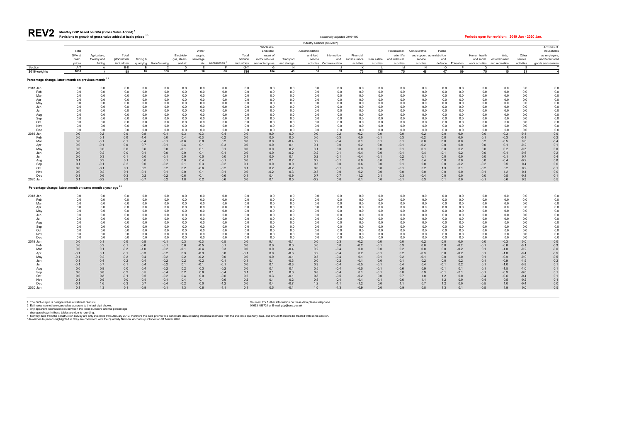| Revisions to growth of gross value added at basic prices $^{2,3}$ | ੧easonallv adiusted 2016=100 | Periods open for revision: 2019 Jan - 2020 Jan. |
|-------------------------------------------------------------------|------------------------------|-------------------------------------------------|

| REV <sub>2</sub> | Monthly GDP based on GVA (Gross Value Added) <sup>1</sup> |
|------------------|-----------------------------------------------------------|
|                  | Revisions to growth of gross value added at basic prices  |

|                                                                        |                  |                  |                  |               |                         |               |                  |                               |               |                          |                  | Industry sections (SIC2007) |                          |                  |               |                             |                                              |               |               |                  |                  |                  |                            |
|------------------------------------------------------------------------|------------------|------------------|------------------|---------------|-------------------------|---------------|------------------|-------------------------------|---------------|--------------------------|------------------|-----------------------------|--------------------------|------------------|---------------|-----------------------------|----------------------------------------------|---------------|---------------|------------------|------------------|------------------|----------------------------|
|                                                                        | Total            |                  |                  |               |                         |               | Water            |                               |               | Wholesale                |                  |                             |                          |                  |               |                             |                                              |               |               |                  |                  |                  | Activities of              |
|                                                                        | GVA at           | Agriculture,     | Total            |               |                         | Electricity   | supply,          |                               | Total         | and retail:<br>repair of |                  | Accommodation<br>and food   | Information              | Financial        |               | Professional,<br>scientific | Administrative<br>and support administration | Public        |               | Human health     | Arts,            | Other            | households<br>as employers |
|                                                                        | basic            | forestry and     | production       | Mining &      |                         | gas, steam    | sewerage         |                               | service       | motor vehicles           | Transport        | service                     | and                      | and insurance    | Real estate   | and technical               | service                                      | and           |               | and social       | entertainment    | service          | undifferentiated           |
|                                                                        | prices           | fishing          | industries       |               | quarrying Manufacturing | and air       |                  | etc Construction <sup>4</sup> | industries    | and motorcycles          | and storage      |                             | activities Communication | activities       | activities    | activities                  | activities                                   | defence       | Education     | work activities  | and recreation   | activities       | goods and services         |
| Section                                                                | A-T              | $\mathsf{A}$     | B-E              | <b>B</b>      | $\mathsf{C}$            | D             | E                | F.                            | $G-T$         | G                        | H                |                             |                          | K                |               | M                           | N                                            | $\circ$       | P             | $\Omega$         | R                | -S               |                            |
| 2016 weights                                                           | 1000             | $\overline{7}$   | 138              | 10            | 100                     | 17            | 10               | 60                            | 796           | 104                      | 43               | 30                          | 63                       | 73               | 138           | 75                          | 48                                           | 47            | 59            | 75               | 15               | 21               | 4                          |
| Percentage change, latest month on previous month <sup>35</sup>        |                  |                  |                  |               |                         |               |                  |                               |               |                          |                  |                             |                          |                  |               |                             |                                              |               |               |                  |                  |                  |                            |
| 2018 Jan                                                               | 0.0              | 0.0              | 0.0              | 0.0           | 0.0                     | 0.0           | 0.0              | 0.0                           | 0.0           | 0.0                      | 0.0              | 0.0                         | 0.0                      | 0.0              | 0.0           | 0.0                         | 0.0                                          | 0.0           | 0.0           | 0.0              | 0.0              | 0.0              | 0.0                        |
| Feb<br>Mar                                                             | 0.0<br>0.0       | 0.0<br>0.0       | 0.0<br>0.0       | 0.0<br>0.0    | 0.0<br>0.0              | 0.0<br>0.0    | 0.0<br>0.0       | 0.0<br>0.0                    | 0.0<br>0.0    | 0.0                      | 0.0<br>0.0       | 0.0<br>0.0                  | 0.0<br>0.0               | 0.0<br>0.0       | 0.0<br>0.0    | 0.0<br>0.0                  | 0.0<br>0.0                                   | 0.0<br>0.0    | 0.0<br>0.0    | 0.0<br>0.0       | 0.0<br>0.0       | 0.0<br>0.0       | 0.0<br>0.0                 |
| Apr                                                                    | 0.0              | 0.0              | 0.0              | 0.0           | 0.0                     | 0.0           | 0.0              | 0.0                           | 0.0           | 0.0<br>0.0               | 0.0              | 0.0                         | 0.0                      | 0.0              | 0.0           | 0.0                         | 0.0                                          | 0.0           | 0.0           | 0.0              | 0.0              | 0.0              | 0.0                        |
| May                                                                    | 0.0              | 0.0              | 0.0              | 0.0           | 0.0                     | 0.0           | 0.0              | 0.0                           | 0.0           | 0.0                      | 0.0              | 0.0                         | 0.0                      | 0.0              | 0.0           | 0.0                         | 0.0                                          | 0.0           | 0.0           | 0.0              | 0.0              | 0.0              | 0.0                        |
| Jun                                                                    | 0.0              | 0.0              | 0.0              | 0.0           | 0.0                     | 0.0           | 0.0              | 0.0                           | 0.0           | 0.0                      | 0.0              | 0.0                         | 0.0                      | 0.0              | 0.0           | 0.0                         | 0.0                                          | 0.0           | 0.0           | 0.0              | 0.0              | 0.0              | 0.0                        |
| Jul                                                                    | 0.0              | 0.0              | 0.0              | 0.0           | 0.0                     | 0.0           | 0.0              | 0.0                           | 0.0           | 0.0                      | 0.0              | 0.0                         | 0.0                      | 0.0              | 0.0           | 0.0                         | 0.0                                          | 0.0           | 0.0           | 0.0              | 0.0              | 0.0              | 0.0                        |
| Aug<br>Sep                                                             | 0.0<br>0.0       | 0.0<br>0.0       | 0.0<br>0.0       | 0.0<br>0.0    | 0.0<br>0.0              | 0.0<br>0.0    | 0.0<br>0.0       | 0.0<br>0.0                    | 0.0<br>0.0    | 0.0<br>0.0               | 0.0<br>0.0       | 0.0<br>0.0                  | 0.0<br>0.0               | 0.0<br>0.0       | 0.0<br>0.0    | 0.0<br>0.0                  | 0.0<br>0.0                                   | 0.0<br>0.0    | 0.0<br>0.0    | 0.0<br>0.0       | 0.0<br>0.0       | 0.0<br>0.0       | 0.0<br>0.0                 |
| Oct                                                                    | 0.0              | 0.0              | 0.0              | 0.0           | 0.0                     | 0.0           | 0.0              | 0.0                           | 0.0           | 0.0                      | 0.0              | 0.0                         | 0.0                      | 0.0              | 0.0           | 0.0                         | 0.0                                          | 0.0           | 0.0           | 0.0              | 0.0              | 0.0              | 0.0                        |
| Nov                                                                    | 0.0              | 0.0              | 0.0              | 0.0           | 0.0                     | 0.0           | 0.0              | 0.0                           | 0.0           | 0.0                      | 0.0              | 0.0                         | 0.0                      | 0.0              | 0.0           | 0.0                         | 0.0                                          | 0.0           | 0.0           | 0.0              | 0.0              | 0.0              | 0.0                        |
| Dec                                                                    | 0.0              | 0.0              | 0.0              | 0.0           | 0.0                     | 0.0           | 0.0              | 0.0                           | 0.0           | 0.0                      | 0.0              | 0.0                         | 0.0                      | 0.0              | 0.0           | 0.0                         | 0.0                                          | 0.0           | 0.0           | 0.0              | 0.0              | 0.0              | 0.0                        |
| 2019 Jan                                                               | 0.0              | 0.2              | 0.0              | 0.8           | $-0.1$                  | 0.3           | $-0.3$           | 0.4                           | 0.0           | 0.0                      | 0.0              | 0.0                         | 0.2                      | $-0.2$           | 0.0           | 0.0                         | 0.2                                          | 0.0           | 0.0           | 0.0              | $-0.3$           | $-0.1$           | 0.0                        |
| Feb<br>Mar                                                             | 0.0              | 0.1              | 0.0              | $-1.4$        | 0.0                     | 0.4           | $-0.3$           | $-0.2$                        | 0.0           | 0.0                      | 0.0              | 0.0<br>0.2                  | $-0.3$                   | 0.0              | $-0.1$        | 0.3<br>0.1                  | $-0.2$                                       | 0.0           | 0.0           | 0.1              | $-0.3$           | $-0.1$<br>0.0    | $-0.2$                     |
| Apr                                                                    | 0.0<br>0.0       | $-0.1$<br>$-0.1$ | $-0.1$<br>0.0    | $-0.4$<br>0.7 | $-0.1$<br>$-0.1$        | $-0.6$<br>0.4 | 0.0<br>0.1       | 0.2<br>$-0.3$                 | 0.0<br>0.0    | 0.0<br>0.0               | $-0.4$<br>0.1    | 0.1                         | $-0.4$<br>0.0            | 0.1<br>0.2       | 0.1<br>0.0    | $-0.1$                      | 0.0<br>$-0.2$                                | 0.0<br>0.0    | 0.0<br>0.0    | 0.2<br>0.0       | $-0.5$<br>0.1    | $-0.2$           | $-0.4$<br>0.1              |
| May                                                                    | 0.0              | 0.0              | 0.0              | 0.6           | 0.0                     | $-0.1$        | 0.1              | 0.1                           | 0.0           | 0.0                      | 0.2              | 0.1                         | 0.0                      | 0.0              | 0.0           | 0.1                         | 0.1                                          | 0.0           | 0.2           | 0.0              | 0.2              | $-0.5$           | 0.0                        |
| Jun                                                                    | 0.0              | 0.2              | 0.0              | 0.1           | 0.0                     | 0.0           | 0.1              | $-0.1$                        | 0.0           | 0.0                      | $-0.2$           | $-0.2$                      | 0.1                      | $-0.4$           | 0.0           | $-0.1$                      | 0.4                                          | $-0.1$        | 0.2           | 0.0              | $-0.1$           | $-0.6$           | 0.2                        |
| Jul                                                                    | 0.0              | 0.3              | $-0.1$           | 0.0           | $-0.1$                  | 0.0           | 0.0              | 0.0                           | 0.1           | 0.0                      | 0.1              | 0.2                         | $-0.1$                   | $-0.4$           | $-0.1$        | 0.2                         | 0.1                                          | 0.0           | 0.0           | 0.0              | $-0.1$           | 0.7              | 0.4                        |
| Aug                                                                    | 0.1              | 0.2              | 0.1              | 0.0           | 0.1                     | 0.0           | 0.4              | $-0.1$                        | 0.0           | 0.1                      | 0.2              | 0.2                         | $-0.1$                   | 0.0              | 0.0           | 0.2                         | 0.4                                          | 0.0           | 0.0           | 0.0              | $-0.4$           | $-0.2$           | 0.0                        |
| Sep<br>Oct                                                             | 0.1<br>0.0       | $-0.1$<br>$-0.1$ | $-0.2$<br>0.1    | 0.0<br>0.2    | $-0.2$<br>0.2           | 0.1<br>0.2    | 0.3<br>$-0.6$    | $-0.2$<br>$-0.2$              | 0.1<br>0.1    | 0.0<br>0.2               | 0.0<br>$-0.2$    | 0.3<br>0.0                  | 0.0<br>$-0.1$            | 0.6<br>$-0.3$    | 0.0<br>0.0    | 0.1<br>$-0.1$               | 0.0<br>0.2                                   | 0.0<br>1.3    | $-0.2$<br>0.1 | $-0.2$<br>$-0.2$ | 0.5<br>0.2       | 0.4<br>0.2       | 0.0<br>$-0.1$              |
| Nov                                                                    | 0.0              | 0.2              | 0.1              | $-0.1$        | 0.1                     | 0.0           | 0.1              | $-0.1$                        | 0.0           | $-0.2$                   | 0.3              | $-0.3$                      | 0.0                      | 0.2              | $0.0\,$       | 0.0                         | 0.0                                          | 0.0           | 0.0           | $-0.1$           | 1.2              | 0.1              | 0.0                        |
| Dec                                                                    | $-0.1$           | 0.6              | $-0.3$           | 0.2           | $-0.2$                  | $-0.6$        | $-0.1$           | $-0.6$                        | $-0.1$        | 0.4                      | $-0.9$           | 0.7                         | $-0.7$                   | $-1.2$           | 0.1           | 0.3                         | $-0.4$                                       | 0.0           | 0.0           | 0.0              | $0.5\,$          | $-0.1$           | $-0.1$                     |
| 2020 Jan                                                               | 0.1              | $-0.2$           | 0.3              | $-0.7$        | 0.2                     | 1.8           | 0.2              | 0.6                           | 0.0           | 0.1                      | 0.5              | $-0.2$                      | 0.0                      | 0.1              | 0.0           | $-0.1$                      | 0.3                                          | 0.1           | 0.0           | $-0.1$           | 0.6              | 0.3              | $0.5\,$                    |
| Percentage change, latest month on same month a year ago <sup>35</sup> |                  |                  |                  |               |                         |               |                  |                               |               |                          |                  |                             |                          |                  |               |                             |                                              |               |               |                  |                  |                  |                            |
| 2018 Jan                                                               | 0.0              | 0.0              | 0.0              | 0.0           | 0.0                     | 0.0           | 0.0              | 0.0                           | 0.0           | 0.0                      | 0.0              | 0.0                         | 0.0                      | 0.0              | 0.0           | 0.0                         | 0.0                                          | 0.0           | 0.0           | 0.0              | 0.0              | 0.0              | 0.0                        |
| Feb                                                                    | 0.0              | 0.0              | 0.0              | 0.0           | 0.0                     | 0.0           | 0.0              | 0.0                           | 0.0           | 0.0                      | 0.0              | 0.0                         | 0.0                      | 0.0              | 0.0           | 0.0                         | 0.0                                          | 0.0           | 0.0           | 0.0              | 0.0              | 0.0              | 0.0                        |
| Mar                                                                    | 0.0              | 0.0              | 0.0              | 0.0           | 0.0                     | 0.0           | 0.0              | 0.0                           | 0.0           | 0.0                      | 0.0              | 0.0                         | 0.0                      | 0.0              | 0.0           | 0.0                         | 0.0                                          | 0.0           | 0.0           | 0.0              | 0.0              | 0.0              | 0.0                        |
| Apr                                                                    | 0.0              | 0.0              | 0.0              | 0.0           | 0.0                     | 0.0           | 0.0              | 0.0                           | 0.0           | 0.0                      | 0.0              | 0.0                         | 0.0                      | 0.0              | 0.0           | 0.0                         | 0.0                                          | 0.0           | 0.0           | 0.0              | 0.0              | 0.0              | 0.0                        |
| May                                                                    | 0.0              | 0.0              | 0.0              | 0.0           | 0.0                     | 0.0           | 0.0              | 0.0                           | 0.0           | 0.0                      | 0.0              | 0.0                         | 0.0                      | 0.0              | 0.0           | 0.0                         | 0.0                                          | 0.0           | 0.0           | 0.0              | 0.0              | 0.0              | 0.0                        |
| Jun<br>Jul                                                             | 0.0<br>0.0       | 0.0<br>0.0       | 0.0<br>0.0       | 0.0<br>0.0    | 0.0<br>0.0              | 0.0<br>0.0    | 0.0<br>0.0       | 0.0<br>0.0                    | 0.0<br>0.0    | 0.0<br>0.0               | 0.0<br>0.0       | 0.0<br>0.0                  | 0.0<br>0.0               | 0.0<br>0.0       | 0.0<br>0.0    | 0.0<br>0.0                  | 0.0<br>0.0                                   | 0.0<br>0.0    | 0.0<br>0.0    | 0.0<br>0.0       | 0.0<br>0.0       | 0.0<br>0.0       | 0.0<br>0.0                 |
| Aug                                                                    | 0.0              | 0.0              | 0.0              | 0.0           | 0.0                     | 0.0           | 0.0              | 0.0                           | 0.0           | 0.0                      | 0.0              | 0.0                         | 0.0                      | 0.0              | 0.0           | 0.0                         | 0.0                                          | 0.0           | 0.0           | 0.0              | 0.0              | 0.0              | 0.0                        |
| Sep                                                                    | 0.0              | 0.0              | 0.0              | 0.0           | 0.0                     | 0.0           | 0.0              | 0.0                           | 0.0           | 0.0                      | 0.0              | 0.0                         | 0.0                      | 0.0              | 0.0           | 0.0                         | 0.0                                          | 0.0           | 0.0           | 0.0              | 0.0              | 0.0              | 0.0                        |
| Oct                                                                    | 0.0              | 0.0              | 0.0              | 0.0           | 0.0                     | 0.0           | 0.0              | 0.0                           | 0.0           | 0.0                      | 0.0              | 0.0                         | 0.0                      | 0.0              | 0.0           | 0.0                         | 0.0                                          | 0.0           | 0.0           | 0.0              | 0.0              | 0.0              | 0.0                        |
| Nov                                                                    | 0.0              | 0.0<br>0.0       | 0.0<br>0.0       | 0.0           | 0.0<br>0.0              | 0.0<br>0.0    | 0.0<br>0.0       | 0.0<br>0.0                    | 0.0<br>0.0    | 0.0                      | 0.0<br>0.0       | 0.0<br>0.0                  | 0.0<br>0.0               | 0.0              | 0.0<br>0.0    | 0.0<br>0.0                  | 0.0<br>0.0                                   | 0.0<br>0.0    | 0.0           | 0.0<br>0.0       | 0.0<br>0.0       | 0.0<br>0.0       | 0.0<br>0.0                 |
| Dec<br>2019 Jan                                                        | 0.0<br>0.0       | 0.1              | 0.0              | 0.0<br>0.8    | $-0.1$                  | 0.3           | $-0.3$           | 0.5                           | 0.0           | 0.0<br>0.1               | $-0.1$           | 0.0                         | 0.3                      | 0.0<br>$-0.2$    | 0.0           | 0.0                         | 0.2                                          | 0.0           | 0.0<br>0.0    | 0.0              | $-0.3$           | 0.0              | 0.0                        |
| Feb                                                                    | 0.0              | 0.2              | $-0.1$           | $-0.6$        | $-0.1$                  | 0.6           | $-0.5$           | 0.1                           | 0.0           | 0.0                      | 0.0              | 0.0                         | 0.0                      | $-0.2$           | $-0.1$        | 0.3                         | 0.0                                          | 0.0           | $-0.2$        | $-0.1$           | $-0.6$           | $-0.1$           | $-0.3$                     |
| Mar                                                                    | 0.0              | 0.1              | $-0.2$           | $-1.0$        | $-0.2$                  | $-0.1$        | $-0.4$           | 0.3                           | 0.0           | 0.0                      | $-0.4$           | 0.2                         | $-0.4$                   | 0.0              | 0.0           | 0.2                         | 0.0                                          | 0.0           | $-0.2$        | 0.1              | $-1.0$           | $-0.2$           | $-0.6$                     |
| Apr                                                                    | $-0.1$           | 0.1              | $-0.1$           | $-0.3$        | $-0.2$                  | 0.3           | $-0.3$           | 0.0                           | $-0.1$        | 0.0                      | $-0.3$           | 0.2                         | $-0.4$                   | 0.2              | $-0.1$        | 0.2                         | $-0.3$                                       | 0.0           | $-0.2$        | 0.1              | $-1.0$           | $-0.4$           | $-0.5$                     |
| May                                                                    | $-0.1$           | 0.2              | $-0.2$           | 0.4           | $-0.2$                  | 0.2           | $-0.2$           | 0.0                           | 0.0           | 0.0                      | $-0.1$           | 0.3                         | $-0.4$                   | 0.1              | $-0.1$        | 0.2                         | $-0.1$                                       | 0.0           | 0.0           | 0.1              | $-0.9$           | $-0.9$           | $-0.5$                     |
| Jun<br>Jul                                                             | $-0.1$<br>$-0.1$ | 0.4<br>0.7       | $-0.2$<br>$-0.1$ | 0.4<br>0.4    | $-0.2$<br>$-0.2$        | 0.2<br>0.1    | $-0.2$<br>$-0.1$ | $-0.1$<br>$-0.1$              | $-0.1$<br>0.0 | 0.1<br>0.1               | $-0.3$<br>$-0.3$ | 0.0<br>0.3                  | $-0.2$<br>$-0.4$         | $-0.1$<br>$-0.5$ | 0.0<br>$-0.1$ | 0.1<br>0.4                  | 0.2<br>0.4                                   | 0.0<br>$-0.1$ | 0.2<br>0.2    | 0.1<br>0.1       | $-0.9$<br>$-1.0$ | $-1.5$<br>$-0.8$ | $-0.2$<br>0.1              |
| Aug                                                                    | 0.0              | 0.9              | 0.0              | 0.4           | $-0.2$                  | 0.2           | 0.3              | $-0.2$                        | 0.0           | 0.1                      | 0.1              | 0.5                         | $-0.4$                   | $-0.5$           | $-0.1$        | 0.6                         | 0.9                                          | $-0.1$        | 0.1           | 0.1              | $-1.5$           | $-1.0$           | 0.1                        |
| Sep                                                                    | 0.0              | 0.8              | $-0.2$           | 0.5           | $-0.4$                  | 0.2           | 0.6              | $-0.4$                        | 0.1           | 0.1                      | 0.0              | 0.8                         | $-0.4$                   | 0.1              | $-0.1$        | 0.8                         | 0.9                                          | $-0.1$        | $-0.1$        | $-0.1$           | $-0.9$           | $-0.6$           | 0.1                        |
| Oct                                                                    | 0.0              | 0.8              | $-0.1$           | 0.5           | $-0.2$                  | 0.4           | 0.0              | $-0.6$                        | 0.2           | 0.3                      | $-0.1$           | 0.8                         | $-0.5$                   | $-0.2$           | 0.0           | 0.7                         | 1.0                                          | 1.2           | 0.0           | $-0.4$           | $-0.6$           | $-0.4$           | 0.1                        |
| Nov                                                                    | 0.1              | 0.9              | 0.0              | 0.4           | $-0.1$                  | 0.4           | 0.1              | $-0.6$                        | 0.2           | 0.1                      | 0.2              | 0.5                         | $-0.4$                   | $-0.1$           | $-0.1$        | 0.6                         | 1.1                                          | 1.2           | 0.0           | $-0.4$           | 0.5              | $-0.2$           | 0.1                        |
| Dec                                                                    | $-0.1$           | 1.6              | $-0.3$           | 0.7           | $-0.4$                  | $-0.2$        | 0.0              | $-1.2$                        | 0.0<br>0.1    | 0.4                      | $-0.7$<br>$-0.1$ | $1.2$<br>1.0                | $-1.1$                   | $-1.2$           | 0.0           | 1.1                         | 0.7                                          | 1.2           | 0.0           | $-0.5$           | 1.0<br>1.9       | $-0.4$           | 0.0                        |
| 2020 Jan                                                               | 0.1              | 1.3              | 0.1              | $-0.9$        | $-0.1$                  | 1.3           | 0.6              | $-1.1$                        |               | 0.5                      |                  |                             | $-1.3$                   | $-0.9$           | 0.0           | 0.9                         | 0.8                                          | 1.3           | 0.1           | $-0.5$           |                  | 0.0              | 0.5                        |

1 The GVA output is designated as a National Statistic. Sources: For further information on these data please telephone<br>2 Estimates cannot be regarded as accurate to the last digit shown. Sources: For further information o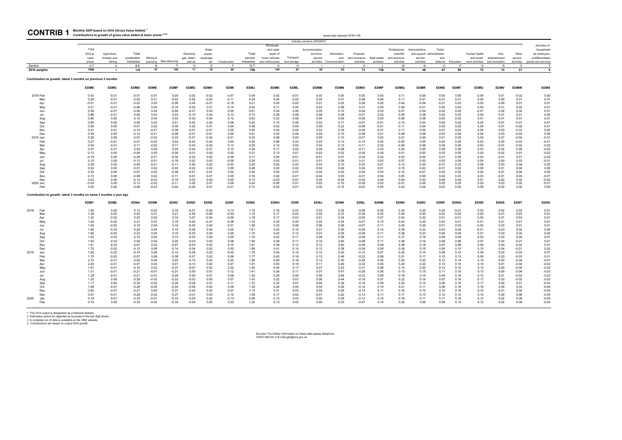seasonally adjusted 2016=100

1 The GVA output is designated as a National Statistic.<br>2 Estimates cannot be regarded as accurate to the last digit shown.<br>3 A complete run of data is available on the ONS website.<br>4 Contributions are based on output GVA

| <b>CONTRIB 1</b> Monthly GDP based on GVA (Gross Value Added) <sup>1</sup><br>Contributions to growth of gross value added at basic prices 2,3,4 |
|--------------------------------------------------------------------------------------------------------------------------------------------------|
|                                                                                                                                                  |

|         |                                                                     |             |                |             |             |                         |             |             |              |             |                 |             | Industry sections (SIC2007) |                          |               |             |               |                            |             |             |                 |                |              |                    |
|---------|---------------------------------------------------------------------|-------------|----------------|-------------|-------------|-------------------------|-------------|-------------|--------------|-------------|-----------------|-------------|-----------------------------|--------------------------|---------------|-------------|---------------|----------------------------|-------------|-------------|-----------------|----------------|--------------|--------------------|
|         |                                                                     |             |                |             |             |                         |             |             |              |             | Wholesale       |             |                             |                          |               |             |               |                            |             |             |                 |                |              | Activities of      |
|         |                                                                     | Total       |                |             |             |                         |             | Water       |              |             | and retail:     |             | Accommodation               |                          |               |             | Professional. | Administrative             | Public      |             |                 |                |              | households         |
|         |                                                                     | GVA at      | Agriculture,   | Total       |             |                         | Electricity | supply.     |              | Total       | repair of       |             | and food                    | Information              | Financial     |             | scientific    | and support administration |             |             | Human health    | Arts,          | Other        | as employers,      |
|         |                                                                     | basic       | forestry and   | production  | Mining &    |                         | gas, steam  | sewerage    |              | service     | motor vehicles  | Transport   | service                     | and                      | and insurance | Real estate | and technical | service                    | and         |             | and social      | entertainment  | service      | undifferentiated   |
|         |                                                                     | prices      | fishing        | industries  |             | quarrying Manufacturing | and air     | etc         | Construction | industries  | and motorcycles | and storage |                             | activities Communication | activities    | activities  | activities    | activities                 | defence     | Education   | work activities | and recreation | activities   | goods and services |
| Section |                                                                     | A-T         | A              | B-F         | <b>B</b>    | C                       | D           |             | - F          | $G-T$       | G               | H           |                             |                          | K             |             | M             | N                          | $\Omega$    | P           | $\Omega$        | R              | $\mathbf{s}$ |                    |
|         | 2016 weights                                                        | 1000        | $\overline{7}$ | 138         | 10          | 100                     | 17          | 10          | 60           | 796         | 104             | 43          | 30                          | 63                       | 73            | 138         | 75            | 48                         | 47          | 59          | 75              | 15             | 21           | $\overline{a}$     |
|         | Contribution to growth, latest 3 months on previous 3 months        |             |                |             |             |                         |             |             |              |             |                 |             |                             |                          |               |             |               |                            |             |             |                 |                |              |                    |
|         |                                                                     | <b>EDMB</b> | <b>EDMC</b>    | <b>EDMD</b> | <b>EDME</b> | <b>EDMF</b>             | <b>EDMG</b> | <b>EDMH</b> | <b>EDMI</b>  | <b>EDMJ</b> | <b>EDMK</b>     | <b>EDML</b> | <b>EDMM</b>                 | <b>EDMN</b>              | <b>EDMO</b>   | <b>EDMP</b> | <b>EDMQ</b>   | <b>EDMR</b>                | <b>EDMS</b> | <b>EDMT</b> | <b>EDMU</b>     | <b>EDMV</b>    | <b>EDMW</b>  | <b>EDMX</b>        |
|         | 2018 Feb                                                            | 0.43        | $-0.01$        | $-0.01$     | $-0.07$     | 0.05                    | 0.02        | $-0.02$     | 0.07         | 0.39        | 0.02            | $-0.01$     | 0.03                        | 0.05                     | 0.05          | 0.05        | 0.11          | 0.06                       | 0.00        | 0.00        | 0.04            | 0.01           | $-0.02$      | 0.00               |
|         | Mar                                                                 | 0.20        | $-0.01$        | $-0.02$     | 0.01        | $-0.02$                 | 0.02        | $-0.02$     | $-0.11$      | 0.34        | 0.04            | $-0.02$     | 0.02                        | 0.01                     | 0.08          | 0.05        | 0.11          | 0.01                       | $-0.01$     | 0.01        | 0.05            | 0.00           | 0.01         | 0.01               |
|         | Apr                                                                 | $-0.01$     | $-0.01$        | $-0.02$     | 0.03        | $-0.08$                 | 0.04        | $-0.01$     | $-0.18$      | 0.21        | 0.05            | $-0.02$     | 0.01                        | 0.02                     | 0.06          | 0.05        | 0.04          | $-0.04$                    | $-0.01$     | 0.02        | 0.02            | 0.00           | 0.01         | 0.01               |
|         | May                                                                 | 0.21        | $-0.01$        | $-0.06$     | 0.05        | $-0.10$                 | $-0.02$     | 0.01        | $-0.14$      | 0.43        | 0.11            | 0.00        | 0.03                        | 0.08                     | 0.01          | 0.05        | 0.08          | $-0.01$                    | 0.00        | 0.03        | 0.00            | 0.01           | 0.02         | 0.01               |
|         | Jun                                                                 | 0.59        | $-0.01$        | $-0.06$     | 0.04        | $-0.04$                 | $-0.07$     | 0.03        | 0.05         | 0.61        | 0.20            | 0.06        | 0.05                        | 0.10                     | $-0.04$       | 0.03        | 0.07          | 0.04                       | 0.02        | 0.03        | $-0.01$         | 0.02           | 0.02         | 0.01               |
|         | Jul                                                                 | 0.86        | $-0.01$        | 0.00        | 0.03        | 0.03                    | $-0.10$     | 0.04        | 0.13         | 0.73        | 0.28            | 0.09        | 0.06                        | 0.08                     | $-0.07$       | 0.02        | 0.09          | 0.08                       | 0.04        | 0.03        | 0.00            | 0.01           | 0.01         | 0.00               |
|         | Aug                                                                 | 0.85        | 0.00           | 0.10        | 0.04        | 0.05                    | $-0.03$     | 0.04        | 0.12         | 0.63        | 0.23            | 0.09        | 0.04                        | 0.09                     | $-0.08$       | 0.00        | 0.08          | 0.08                       | 0.05        | 0.02        | 0.01            | $-0.01$        | 0.01         | 0.01               |
|         | Sep                                                                 | 0.66        | 0.00           | 0.08        | 0.03        | 0.01                    | 0.02        | 0.02        | 0.06         | 0.52        | 0.14            | 0.06        | 0.02                        | 0.17                     | $-0.07$       | $-0.01$     | 0.10          | 0.03                       | 0.05        | 0.02        | 0.02            | $-0.01$        | $-0.01$      | 0.01               |
|         | Oct                                                                 | 0.50        | 0.00           | $-0.01$     | 0.02        | $-0.05$                 | 0.02        | 0.01        | 0.04         | 0.46        | 0.03            | 0.04        | 0.00                        | 0.22                     | $-0.06$       | $-0.01$     | 0.11          | 0.04                       | 0.03        | 0.02        | 0.04            | 0.01           | $-0.02$      | 0.01               |
|         | Nov                                                                 | 0.41        | 0.01           | $-0.10$     | $-0.01$     | $-0.08$                 | $-0.01$     | $-0.01$     | 0.05         | 0.45        | 0.03            | 0.04        | 0.02                        | 0.18                     | $-0.05$       | $-0.01$     | 0.11          | 0.05                       | 0.01        | 0.03        | 0.04            | 0.03           | $-0.03$      | 0.00               |
|         | Dec                                                                 | 0.30        | 0.00           | $-0.12$     | $-0.01$     | $-0.08$                 | $-0.01$     | $-0.01$     | 0.00         | 0.41        | 0.03            | 0.04        | 0.04                        | 0.10                     | $-0.06$       | 0.01        | 0.08          | 0.08                       | 0.00        | 0.04        | 0.04            | 0.03           | $-0.03$      | 0.00               |
|         | 2019 Jan                                                            | 0.26        | 0.00           | $-0.07$     | $-0.03$     | $-0.03$                 | $-0.01$     | $-0.02$     | $-0.01$      | 0.34        | 0.08            | 0.03        | 0.05                        | 0.10                     | $-0.07$       | 0.02        | 0.01          | 0.06                       | 0.01        | 0.05        | 0.04            | 0.01           | $-0.04$      | $-0.01$            |
|         | Feb                                                                 | 0.27        | $-0.01$        | $-0.01$     | $-0.02$     | 0.04                    | $-0.02$     | $-0.02$     | 0.03         | 0.25        | 0.06            | 0.03        | 0.03                        | 0.13                     | $-0.10$       | 0.02        | $-0.05$       | 0.05                       | 0.04        | 0.05        | 0.03            | 0.00           | $-0.03$      | $-0.01$            |
|         | Mar                                                                 | 0.54        | $-0.01$        | 0.11        | $-0.02$     | 0.17                    | $-0.03$     | $-0.02$     | 0.13         | 0.30        | 0.12            | 0.02        | 0.02                        | 0.13                     | $-0.11$       | 0.02        | $-0.06$       | 0.06                       | 0.05        | 0.05        | 0.03            | $-0.01$        | $-0.02$      | $-0.02$            |
|         | Apr                                                                 | 0.37        | $-0.01$        | 0.00        | 0.00        | 0.05                    | $-0.04$     | $-0.01$     | 0.10         | 0.26        | 0.11            | 0.02        | 0.00                        | 0.08                     | $-0.11$       | 0.03        | 0.00          | 0.05                       | 0.05        | 0.05        | 0.03            | $-0.02$        | 0.00         | $-0.02$            |
|         | May                                                                 | 0.13        | 0.00           | $-0.09$     | 0.00        | $-0.08$                 | $-0.01$     | 0.00        | 0.02         | 0.21        | 0.13            | 0.01        | $-0.02$                     | 0.03                     | $-0.09$       | 0.04        | 0.01          | 0.03                       | 0.03        | 0.05        | 0.03            | $-0.02$        | 0.01         | $-0.02$            |
|         | Jun                                                                 | $-0.18$     | 0.00           | $-0.28$     | $-0.01$     | $-0.30$                 | 0.02        | 0.02        | $-0.08$      | 0.17        | 0.05            | $-0.01$     | $-0.01$                     | 0.07                     | $-0.04$       | 0.04        | 0.03          | $-0.02$                    | 0.01        | 0.05        | 0.03            | $-0.01$        | 0.01         | $-0.02$            |
|         | Jul                                                                 | 0.15        | 0.00           | $-0.13$     | $-0.01$     | $-0.18$                 | 0.02        | 0.03        | $-0.06$      | 0.35        | 0.03            | $-0.01$     | 0.01                        | 0.09                     | 0.01          | 0.03        | 0.07          | 0.02                       | 0.00        | 0.04        | 0.04            | 0.00           | 0.03         | $-0.01$            |
|         | Aug                                                                 | 0.38        | 0.00           | $-0.09$     | $-0.01$     | $-0.11$                 | 0.00        | 0.02        | $-0.03$      | 0.50        | 0.00            | 0.00        | 0.03                        | 0.10                     | 0.05          | 0.01        | 0.15          | 0.02                       | $-0.01$     | 0.03        | 0.06            | 0.03           | 0.04         | 0.00               |
|         | Sep                                                                 | 0.52        | 0.00           | $-0.01$     | 0.02        | $-0.03$                 | $-0.02$     | 0.02        | 0.05         | 0.48        | 0.03            | 0.02        | $-0.02$                     | 0.06                     | 0.05          | 0.01        | 0.15          | 0.03                       | $-0.01$     | 0.02        | 0.06            | 0.01           | 0.04         | 0.00               |
|         | Oct                                                                 | 0.30        | 0.00           | $-0.07$     | 0.02        | $-0.08$                 | $-0.01$     | 0.01        | 0.02         | 0.35        | 0.05            | 0.01        | $-0.04$                     | 0.02                     | 0.04          | 0.03        | 0.12          | $-0.01$                    | 0.02        | 0.02        | 0.05            | 0.01           | 0.04         | 0.00               |
|         | Nov                                                                 | 0.13        | 0.00           | $-0.08$     | 0.02        | $-0.11$                 | 0.01        | 0.01        | 0.05         | 0.16        | 0.02            | $-0.01$     | $-0.04$                     | 0.00                     | $-0.01$       | 0.04        | 0.05          | 0.00                       | 0.04        | 0.03        | 0.03            | $-0.01$        | 0.03         | $-0.01$            |
|         | Dec                                                                 | 0.03        | 0.00           | $-0.10$     | $-0.03$     | $-0.10$                 | 0.03        | 0.00        | 0.00         | 0.13        | $-0.03$         | $-0.01$     | 0.00                        | $-0.04$                  | $-0.03$       | 0.04        | 0.04          | 0.03                       | 0.06        | 0.04        | 0.01            | 0.02           | 0.02         | $-0.02$            |
|         | 2020 Jan                                                            | $-0.03$     | 0.00           | $-0.13$     | $-0.03$     | $-0.11$                 | 0.00        | 0.01        | 0.06         | 0.04        | $-0.06$         | 0.01        | 0.03                        | $-0.10$                  | $-0.06$       | 0.03        | $-0.01$       | 0.06                       | 0.05        | 0.05        | 0.00            | 0.03           | 0.02         | $-0.01$            |
|         | Feb                                                                 | 0.05        | 0.00           | $-0.08$     | $-0.03$     | $-0.04$                 | $-0.04$     | 0.01        | $-0.01$      | 0.15        | $-0.02$         | 0.01        | 0.04                        | $-0.10$                  | $-0.02$       | 0.05        | 0.03          | 0.04                       | 0.03        | 0.05        | 0.00            | 0.02           | 0.02         | 0.00               |
|         | Contribution to growth, latest 3 months on same 3 months a year ago |             |                |             |             |                         |             |             |              |             |                 |             |                             |                          |               |             |               |                            |             |             |                 |                |              |                    |
|         |                                                                     | <b>EDMY</b> | <b>EDMZ</b>    | <b>EDNA</b> | <b>EDNB</b> | <b>EDNC</b>             | <b>EDND</b> | <b>EDNE</b> | <b>EDNF</b>  | <b>EDNG</b> | <b>EDNH</b>     | <b>EDNI</b> | <b>EDNJ</b>                 | <b>EDNK</b>              | <b>EDNL</b>   | <b>EDNM</b> | <b>EDNN</b>   | <b>EDNO</b>                | <b>EDNP</b> | <b>EDNQ</b> | <b>EDNR</b>     | <b>EDNS</b>    | <b>EDNT</b>  | EDNU               |
| 2018    | Feb                                                                 | 1.40        | 0.00           | 0.12        | $-0.02$     | 0.18                    | $-0.01$     | $-0.04$     | 0.13         | 1.15        | 0.16            | 0.03        | 0.03                        | 0.36                     | $-0.08$       | $-0.05$     | 0.34          | 0.25                       | 0.04        | $-0.01$     | 0.03            | 0.02           | 0.02         | 0.01               |
|         | Mar                                                                 | 1.29        | $-0.02$        | 0.20        | 0.01        | 0.21                    | 0.04        | $-0.06$     | $-0.04$      | 1.15        | 0.17            | $-0.02$     | 0.02                        | 0.37                     | $-0.05$       | 0.03        | 0.36          | 0.20                       | 0.02        | $-0.02$     | 0.02            | 0.01           | 0.03         | 0.01               |
|         | Apr                                                                 | 1.32        | $-0.02$        | 0.25        | 0.02        | 0.19                    | 0.07        | $-0.04$     | $-0.09$      | 1.18        | 0.17            | $-0.03$     | 0.01                        | 0.34                     | $-0.05$       | 0.07        | 0.40          | 0.22                       | 0.01        | $-0.01$     | 0.00            | 0.01           | 0.03         | 0.01               |
|         | May                                                                 | 1.44        | $-0.02$        | 0.21        | 0.03        | 0.18                    | 0.02        | $-0.01$     | $-0.08$      | 1.33        | 0.25            | 0.00        | 0.03                        | 0.34                     | $-0.07$       | 0.10        | 0.42          | 0.22                       | 0.00        | 0.01        | $-0.01$         | 0.01           | 0.01         | 0.01               |
|         | Jun                                                                 | 1.63        | $-0.02$        | 0.19        | 0.04        | 0.18                    | $-0.05$     | 0.02        | $-0.01$      | 1.48        | 0.33            | 0.06        | 0.06                        | 0.26                     | $-0.07$       | 0.11        | 0.40          | 0.26                       | 0.01        | 0.03        | $-0.02$         | 0.03           | 0.01         | 0.01               |
|         | Jul                                                                 | 1.84        | $-0.03$        | 0.20        | 0.04        | 0.19                    | $-0.06$     | 0.04        | 0.05         | 1.61        | 0.43            | 0.10        | 0.07                        | 0.26                     | $-0.09$       | 0.12        | 0.38          | 0.22                       | 0.03        | 0.04        | $-0.01$         | 0.03           | 0.02         | 0.00               |
|         | Aug                                                                 | 1.95        | $-0.03$        | 0.23        | 0.05        | 0.18                    | $-0.03$     | 0.05        | 0.05         | 1.70        | 0.42            | 0.12        | 0.07                        | 0.29                     | $-0.09$       | 0.11        | 0.38          | 0.23                       | 0.06        | 0.04        | 0.01            | 0.03           | 0.02         | 0.00               |
|         | Sep                                                                 | 1.93        | $-0.03$        | 0.15        | 0.05        | 0.10                    | $-0.03$     | 0.04        | 0.05         | 1.76        | 0.42            | 0.11        | 0.08                        | 0.38                     | $-0.09$       | 0.11        | 0.37          | 0.19                       | 0.08        | 0.05        | 0.03            | 0.02           | 0.00         | 0.01               |
|         | Oct                                                                 | 1.93        | $-0.03$        | 0.04        | 0.04        | 0.00                    | $-0.03$     | 0.03        | 0.08         | 1.84        | 0.38            | 0.11        | 0.10                        | 0.40                     | $-0.08$       | 0.11        | 0.38          | 0.19                       | 0.08        | 0.06        | 0.07            | 0.03           | $-0.01$      | 0.01               |
|         | Nov                                                                 | 1.91        | $-0.02$        | $-0.07$     | 0.02        | $-0.07$                 | $-0.03$     | 0.02        | 0.10         | 1.91        | 0.39            | 0.12        | 0.12                        | 0.40                     | $-0.08$       | 0.09        | 0.38          | 0.18                       | 0.07        | 0.08        | 0.09            | 0.04           | $-0.02$      | 0.01               |
|         | Dec                                                                 | 1.75        | $-0.02$        | $-0.12$     | 0.06        | $-0.14$                 | $-0.04$     | 0.02        | 0.00         | 1.89        | 0.41            | 0.14        | 0.12                        | 0.38                     | $-0.09$       | 0.08        | 0.36          | 0.16                       | 0.06        | 0.10        | 0.10            | 0.04           | $-0.01$      | 0.02               |
| 2019    | Jan                                                                 | 1.62        | $-0.02$        | $-0.10$     | 0.06        | $-0.12$                 | $-0.04$     | 0.02        | $-0.02$      | 1.76        | 0.44            | 0.15        | 0.12                        | 0.43                     | $-0.15$       | 0.07        | 0.25          | 0.14                       | 0.08        | 0.12        | 0.09            | 0.03           | $-0.03$      | 0.01               |
|         | Feb                                                                 | 1.75        | $-0.02$        | $-0.07$     | 0.08        | $-0.08$                 | $-0.07$     | 0.02        | 0.06         | 1.77        | 0.43            | 0.16        | 0.13                        | 0.49                     | $-0.22$       | 0.06        | 0.21          | 0.17                       | 0.10        | 0.13        | 0.09            | 0.03           | $-0.03$      | 0.01               |
|         | Mar                                                                 | 2.10        | $-0.01$        | 0.02        | 0.04        | 0.05                    | $-0.10$     | 0.02        | 0.24         | 1.85        | 0.50            | 0.18        | 0.13                        | 0.50                     | $-0.28$       | 0.05        | 0.20          | 0.22                       | 0.12        | 0.14        | 0.10            | 0.03           | $-0.04$      | $-0.01$            |
|         | Apr                                                                 | 2.00        | $-0.01$        | $-0.07$     | 0.03        | 0.01                    | $-0.13$     | 0.02        | 0.27         | 1.81        | 0.50            | 0.19        | 0.11                        | 0.49                     | $-0.32$       | 0.05        | 0.20          | 0.22                       | 0.13        | 0.15        | 0.10            | 0.01           | $-0.04$      | $-0.02$            |
|         | May                                                                 | 1.67        | $-0.01$        | $-0.10$     | 0.02        | $-0.07$                 | $-0.07$     | 0.02        | 0.22         | 1.55        | 0.45            | 0.17        | 0.07                        | 0.43                     | $-0.31$       | 0.06        | 0.15          | 0.20                       | 0.13        | 0.15        | 0.12            | 0.00           | $-0.05$      | $-0.03$            |
|         | Jun                                                                 | 1.31        | $-0.01$        | $-0.21$     | $-0.01$     | $-0.21$                 | 0.00        | 0.01        | 0.12         | 1.41        | 0.34            | 0.11        | 0.07                        | 0.47                     | $-0.28$       | 0.06        | 0.15          | 0.15                       | 0.11        | 0.16        | 0.13            | 0.00           | $-0.04$      | $-0.03$            |
|         | Jul                                                                 | 1.28        | $-0.01$        | $-0.21$     | $-0.01$     | $-0.20$                 | 0.00        | 0.01        | 0.08         | 1.42        | 0.24            | 0.09        | 0.06                        | 0.49                     | $-0.23$       | 0.06        | 0.18          | 0.16                       | 0.09        | 0.16        | 0.15            | 0.01           | $-0.03$      | $-0.03$            |
|         | Aug                                                                 | 1.20        | 0.00           | $-0.29$     | $-0.03$     | $-0.23$                 | $-0.03$     | 0.00        | 0.07         | 1.43        | 0.22            | 0.07        | 0.06                        | 0.44                     | $-0.18$       | 0.07        | 0.22          | 0.14                       | 0.07        | 0.16        | 0.17            | 0.03           | $-0.02$      | $-0.03$            |
|         | Sep                                                                 | 1.17        | 0.00           | $-0.30$     | $-0.02$     | $-0.25$                 | $-0.05$     | 0.01        | 0.11         | 1.37        | 0.23            | 0.07        | 0.04                        | 0.36                     | $-0.16$       | 0.09        | 0.20          | 0.15                       | 0.06        | 0.16        | 0.17            | 0.02           | 0.01         | $-0.03$            |
|         | Oct                                                                 | 1.08        | $-0.01$        | $-0.28$     | $-0.02$     | $-0.24$                 | $-0.04$     | 0.02        | 0.06         | 1.30        | 0.26            | 0.05        | 0.02                        | 0.29                     | $-0.14$       | 0.10        | 0.21          | 0.11                       | 0.08        | 0.16        | 0.16            | 0.00           | 0.02         | $-0.04$            |
|         | Nov                                                                 | 0.92        | $-0.01$        | $-0.27$     | 0.00        | $-0.27$                 | $-0.02$     | 0.02        | 0.07         | 1.13        | 0.21            | 0.03        | 0.00                        | 0.26                     | $-0.14$       | 0.11        | 0.16          | 0.10                       | 0.10        | 0.16        | 0.15            | $-0.01$        | 0.04         | $-0.04$            |
|         | Dec                                                                 | 0.91        | $-0.01$        | $-0.28$     | $-0.03$     | $-0.27$                 | $-0.01$     | 0.03        | 0.10         | 1.09        | 0.17            | 0.02        | $-0.01$                     | 0.22                     | $-0.13$       | 0.11        | 0.17          | 0.10                       | 0.12        | 0.15        | 0.14            | 0.00           | 0.06         | $-0.05$            |
| 2020    | Jan                                                                 | 0.79        | $-0.01$        | $-0.33$     | $-0.01$     | $-0.33$                 | $-0.03$     | 0.04        | 0.13         | 0.99        | 0.12            | 0.03        | 0.00                        | 0.09                     | $-0.12$       | 0.12        | 0.19          | 0.11                       | 0.11        | 0.16        | 0.13            | 0.02           | 0.08         | $-0.05$            |
|         | Feb                                                                 | 0.70        | 0.00           | $-0.35$     | $-0.02$     | $-0.34$                 | $-0.04$     | 0.05        | 0.03         | 1.02        | 0.12            | 0.02        | 0.00                        | 0.03                     | $-0.07$       | 0.14        | 0.25          | 0.09                       | 0.09        | 0.15        | 0.12            | 0.02           | 0.09         | $-0.04$            |
|         |                                                                     |             |                |             |             |                         |             |             |              |             |                 |             |                             |                          |               |             |               |                            |             |             |                 |                |              |                    |

Sources: For further information on these data please telephone 01633 456724 or E-mail gdp@ons.gov.uk